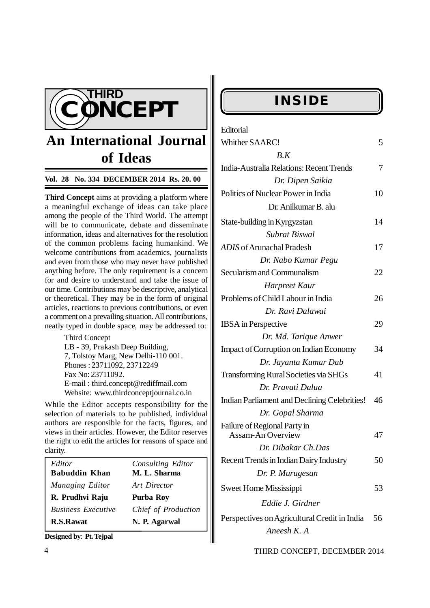

# **An International Journal of Ideas**

## **Vol. 28 No. 334 DECEMBER 2014 Rs. 20. 00**

**Third Concept** aims at providing a platform where a meaningful exchange of ideas can take place among the people of the Third World. The attempt will be to communicate, debate and disseminate information, ideas and alternatives for the resolution of the common problems facing humankind. We welcome contributions from academics, journalists and even from those who may never have published anything before. The only requirement is a concern for and desire to understand and take the issue of our time. Contributions may be descriptive, analytical or theoretical. They may be in the form of original articles, reactions to previous contributions, or even a comment on a prevailing situation. All contributions, neatly typed in double space, may be addressed to:

> Third Concept LB - 39, Prakash Deep Building, 7, Tolstoy Marg, New Delhi-110 001. Phones : 23711092, 23712249 Fax No: 23711092. E-mail : third.concept@rediffmail.com Website: www.thirdconceptjournal.co.in

While the Editor accepts responsibility for the selection of materials to be published, individual authors are responsible for the facts, figures, and views in their articles. However, the Editor reserves the right to edit the articles for reasons of space and clarity.

| Editor                    | Consulting Editor   |
|---------------------------|---------------------|
| <b>Babuddin Khan</b>      | M. L. Sharma        |
| Managing Editor           | Art Director        |
| R. Prudhvi Raju           | Purba Roy           |
| <b>Business Executive</b> | Chief of Production |
| <b>R.S.Rawat</b>          | N. P. Agarwal       |

**Designed by**: **Pt. Tejpal**

# **INSIDE**

| Editorial                                                   |    |
|-------------------------------------------------------------|----|
| <b>Whither SAARC!</b>                                       | 5  |
| $R$ . $K$                                                   |    |
| India-Australia Relations: Recent Trends                    | 7  |
| Dr. Dipen Saikia                                            |    |
| Politics of Nuclear Power in India                          | 10 |
| Dr. Anilkumar B. alu                                        |    |
| State-building in Kyrgyzstan                                | 14 |
| Subrat Biswal                                               |    |
| <b>ADIS</b> of Arunachal Pradesh                            | 17 |
| Dr. Nabo Kumar Pegu                                         |    |
| Secularism and Communalism                                  | 22 |
| Harpreet Kaur                                               |    |
| Problems of Child Labour in India                           | 26 |
| Dr. Ravi Dalawai                                            |    |
| <b>IBSA</b> in Perspective                                  | 29 |
| Dr. Md. Tarique Anwer                                       |    |
| <b>Impact of Corruption on Indian Economy</b>               | 34 |
| Dr. Jayanta Kumar Dab                                       |    |
| Transforming Rural Societies via SHGs                       | 41 |
| Dr. Pravati Dalua                                           |    |
| Indian Parliament and Declining Celebrities!                | 46 |
| Dr. Gopal Sharma                                            |    |
| Failure of Regional Party in<br><b>Assam-An Overview</b>    | 47 |
| Dr. Dibakar Ch.Das                                          |    |
| <b>Recent Trends in Indian Dairy Industry</b>               | 50 |
| Dr. P. Murugesan                                            |    |
| Sweet Home Mississippi                                      | 53 |
| Eddie J. Girdner                                            |    |
| Perspectives on Agricultural Credit in India<br>Aneesh K. A | 56 |

4 THIRD CONCEPT, DECEMBER 2014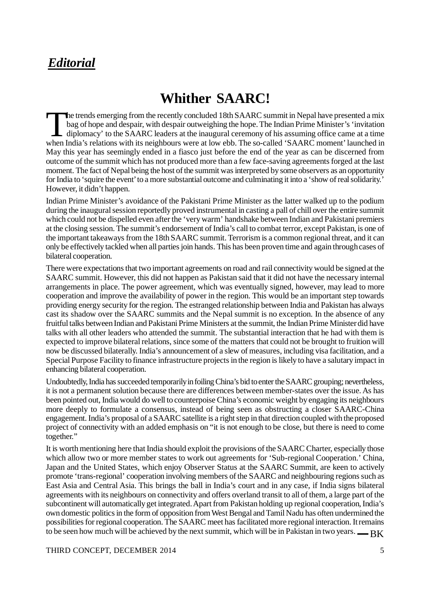## *Editorial*

# **Whither SAARC!**

The trends emerging from the recently concluded 18th SAARC summit in Nepal have presented a mix<br>bag of hope and despair, with despair outweighing the hope. The Indian Prime Minister's 'invitation<br>diplomacy' to the SAARC le he trends emerging from the recently concluded 18th SAARC summit in Nepal have presented a mix bag of hope and despair, with despair outweighing the hope. The Indian Prime Minister's 'invitation diplomacy' to the SAARC leaders at the inaugural ceremony of his assuming office came at a time May this year has seemingly ended in a fiasco just before the end of the year as can be discerned from outcome of the summit which has not produced more than a few face-saving agreements forged at the last moment. The fact of Nepal being the host of the summit was interpreted by some observers as an opportunity for India to 'squire the event' to a more substantial outcome and culminating it into a 'show of real solidarity.' However, it didn't happen.

Indian Prime Minister's avoidance of the Pakistani Prime Minister as the latter walked up to the podium during the inaugural session reportedly proved instrumental in casting a pall of chill over the entire summit which could not be dispelled even after the 'very warm' handshake between Indian and Pakistani premiers at the closing session. The summit's endorsement of India's call to combat terror, except Pakistan, is one of the important takeaways from the 18th SAARC summit. Terrorism is a common regional threat, and it can only be effectively tackled when all parties join hands. This has been proven time and again through cases of bilateral cooperation.

There were expectations that two important agreements on road and rail connectivity would be signed at the SAARC summit. However, this did not happen as Pakistan said that it did not have the necessary internal arrangements in place. The power agreement, which was eventually signed, however, may lead to more cooperation and improve the availability of power in the region. This would be an important step towards providing energy security for the region. The estranged relationship between India and Pakistan has always cast its shadow over the SAARC summits and the Nepal summit is no exception. In the absence of any fruitful talks between Indian and Pakistani Prime Ministers at the summit, the Indian Prime Minister did have talks with all other leaders who attended the summit. The substantial interaction that he had with them is expected to improve bilateral relations, since some of the matters that could not be brought to fruition will now be discussed bilaterally. India's announcement of a slew of measures, including visa facilitation, and a Special Purpose Facility to finance infrastructure projects in the region is likely to have a salutary impact in enhancing bilateral cooperation.

Undoubtedly, India has succeeded temporarily in foiling China's bid to enter the SAARC grouping; nevertheless, it is not a permanent solution because there are differences between member-states over the issue. As has been pointed out, India would do well to counterpoise China's economic weight by engaging its neighbours more deeply to formulate a consensus, instead of being seen as obstructing a closer SAARC-China engagement. India's proposal of a SAARC satellite is a right step in that direction coupled with the proposed project of connectivity with an added emphasis on "it is not enough to be close, but there is need to come together."

to be seen how much will be achieved by the next summit, which will be in Pakistan in two years.  $\_\_ {\rm BK}$ It is worth mentioning here that India should exploit the provisions of the SAARC Charter, especially those which allow two or more member states to work out agreements for 'Sub-regional Cooperation.' China, Japan and the United States, which enjoy Observer Status at the SAARC Summit, are keen to actively promote 'trans-regional' cooperation involving members of the SAARC and neighbouring regions such as East Asia and Central Asia. This brings the ball in India's court and in any case, if India signs bilateral agreements with its neighbours on connectivity and offers overland transit to all of them, a large part of the subcontinent will automatically get integrated. Apart from Pakistan holding up regional cooperation, India's own domestic politics in the form of opposition from West Bengal and Tamil Nadu has often undermined the possibilities for regional cooperation. The SAARC meet has facilitated more regional interaction. It remains

### THIRD CONCEPT, DECEMBER 2014 5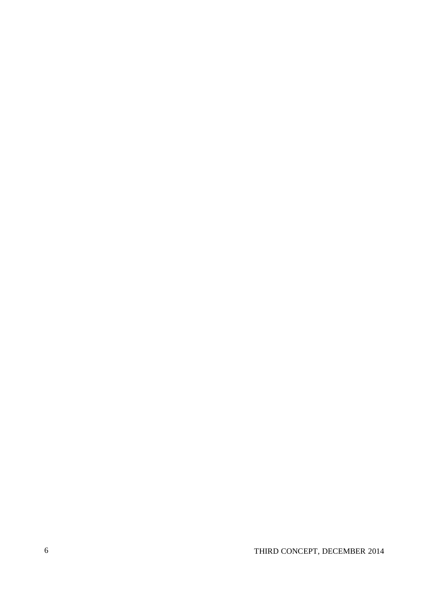THIRD CONCEPT, DECEMBER 2014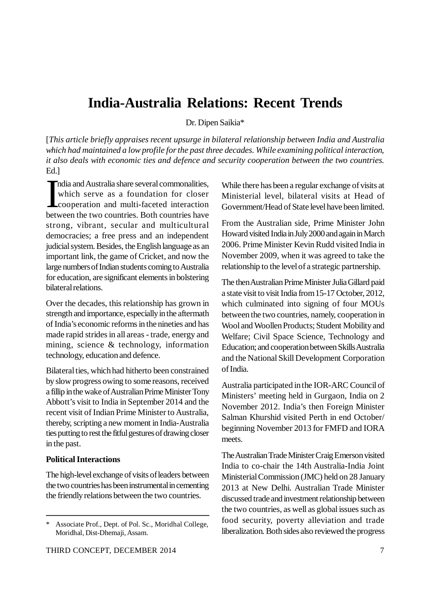## **India-Australia Relations: Recent Trends**

Dr. Dipen Saikia\*

[*This article briefly appraises recent upsurge in bilateral relationship between India and Australia which had maintained a low profile for the past three decades. While examining political interaction, it also deals with economic ties and defence and security cooperation between the two countries.* Ed.]

India and Australia share several commonalities,<br>which serve as a foundation for closer<br>cooperation and multi-faceted interaction<br>between the two countries. Both countries have ndia and Australia share several commonalities, which serve as a foundation for closer cooperation and multi-faceted interaction strong, vibrant, secular and multicultural democracies; a free press and an independent judicial system. Besides, the English language as an important link, the game of Cricket, and now the large numbers of Indian students coming to Australia for education, are significant elements in bolstering bilateral relations.

Over the decades, this relationship has grown in strength and importance, especially in the aftermath of India's economic reforms in the nineties and has made rapid strides in all areas - trade, energy and mining, science & technology, information technology, education and defence.

Bilateral ties, which had hitherto been constrained by slow progress owing to some reasons, received a fillip in the wake of Australian Prime Minister Tony Abbott's visit to India in September 2014 and the recent visit of Indian Prime Minister to Australia, thereby, scripting a new moment in India-Australia ties putting to rest the fitful gestures of drawing closer in the past.

### **Political Interactions**

The high-level exchange of visits of leaders between the two countries has been instrumental in cementing the friendly relations between the two countries.

While there has been a regular exchange of visits at Ministerial level, bilateral visits at Head of Government/Head of State level have been limited.

From the Australian side, Prime Minister John Howard visited India in July 2000 and again in March 2006. Prime Minister Kevin Rudd visited India in November 2009, when it was agreed to take the relationship to the level of a strategic partnership.

The then Australian Prime Minister Julia Gillard paid a state visit to visit India from 15-17 October, 2012, which culminated into signing of four MOUs between the two countries, namely, cooperation in Wool and Woollen Products; Student Mobility and Welfare; Civil Space Science, Technology and Education; and cooperation between Skills Australia and the National Skill Development Corporation of India.

Australia participated in the IOR-ARC Council of Ministers' meeting held in Gurgaon, India on 2 November 2012. India's then Foreign Minister Salman Khurshid visited Perth in end October/ beginning November 2013 for FMFD and IORA meets.

The Australian Trade Minister Craig Emerson visited India to co-chair the 14th Australia-India Joint Ministerial Commission (JMC) held on 28 January 2013 at New Delhi. Australian Trade Minister discussed trade and investment relationship between the two countries, as well as global issues such as food security, poverty alleviation and trade liberalization. Both sides also reviewed the progress

Associate Prof., Dept. of Pol. Sc., Moridhal College, Moridhal, Dist-Dhemaji, Assam.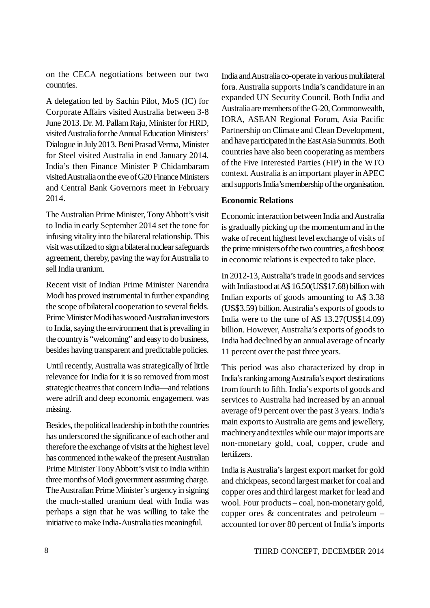on the CECA negotiations between our two countries.

A delegation led by Sachin Pilot, MoS (IC) for Corporate Affairs visited Australia between 3-8 June 2013. Dr. M. Pallam Raju, Minister for HRD, visited Australia for the Annual Education Ministers' Dialogue in July 2013. Beni Prasad Verma, Minister for Steel visited Australia in end January 2014. India's then Finance Minister P Chidambaram visited Australia on the eve of G20 Finance Ministers and Central Bank Governors meet in February 2014.

The Australian Prime Minister, Tony Abbott's visit to India in early September 2014 set the tone for infusing vitality into the bilateral relationship. This visit was utilized to sign a bilateral nuclear safeguards agreement, thereby, paving the way for Australia to sell India uranium.

Recent visit of Indian Prime Minister Narendra Modi has proved instrumental in further expanding the scope of bilateral cooperation to several fields. Prime Minister Modi has wooed Australian investors to India, saying the environment that is prevailing in the country is "welcoming" and easy to do business, besides having transparent and predictable policies.

Until recently, Australia was strategically of little relevance for India for it is so removed from most strategic theatres that concern India—and relations were adrift and deep economic engagement was missing.

Besides, the political leadership in both the countries has underscored the significance of each other and therefore the exchange of visits at the highest level has commenced in the wake of the present Australian Prime Minister Tony Abbott's visit to India within three months of Modi government assuming charge. The Australian Prime Minister's urgency in signing the much-stalled uranium deal with India was perhaps a sign that he was willing to take the initiative to make India-Australia ties meaningful.

India and Australia co-operate in various multilateral fora. Australia supports India's candidature in an expanded UN Security Council. Both India and Australia are members of the G-20, Commonwealth, IORA, ASEAN Regional Forum, Asia Pacific Partnership on Climate and Clean Development, and have participated in the East Asia Summits. Both countries have also been cooperating as members of the Five Interested Parties (FIP) in the WTO context. Australia is an important player in APEC and supports India's membership of the organisation.

#### **Economic Relations**

Economic interaction between India and Australia is gradually picking up the momentum and in the wake of recent highest level exchange of visits of the prime ministers of the two countries, a fresh boost in economic relations is expected to take place.

In 2012-13, Australia's trade in goods and services with India stood at A\$ 16.50(US\$17.68) billion with Indian exports of goods amounting to A\$ 3.38 (US\$3.59) billion. Australia's exports of goods to India were to the tune of A\$ 13.27(US\$14.09) billion. However, Australia's exports of goods to India had declined by an annual average of nearly 11 percent over the past three years.

This period was also characterized by drop in India's ranking among Australia's export destinations from fourth to fifth. India's exports of goods and services to Australia had increased by an annual average of 9 percent over the past 3 years. India's main exports to Australia are gems and jewellery, machinery and textiles while our major imports are non-monetary gold, coal, copper, crude and fertilizers.

India is Australia's largest export market for gold and chickpeas, second largest market for coal and copper ores and third largest market for lead and wool. Four products – coal, non-monetary gold, copper ores & concentrates and petroleum – accounted for over 80 percent of India's imports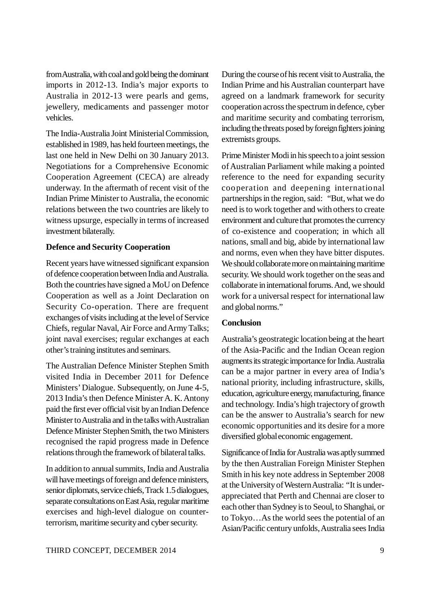from Australia, with coal and gold being the dominant imports in 2012-13. India's major exports to Australia in 2012-13 were pearls and gems, jewellery, medicaments and passenger motor vehicles.

The India-Australia Joint Ministerial Commission, established in 1989, has held fourteen meetings, the last one held in New Delhi on 30 January 2013. Negotiations for a Comprehensive Economic Cooperation Agreement (CECA) are already underway. In the aftermath of recent visit of the Indian Prime Minister to Australia, the economic relations between the two countries are likely to witness upsurge, especially in terms of increased investment bilaterally.

#### **Defence and Security Cooperation**

Recent years have witnessed significant expansion of defence cooperation between India and Australia. Both the countries have signed a MoU on Defence Cooperation as well as a Joint Declaration on Security Co-operation. There are frequent exchanges of visits including at the level of Service Chiefs, regular Naval, Air Force and Army Talks; joint naval exercises; regular exchanges at each other's training institutes and seminars.

The Australian Defence Minister Stephen Smith visited India in December 2011 for Defence Ministers' Dialogue. Subsequently, on June 4-5, 2013 India's then Defence Minister A. K. Antony paid the first ever official visit by an Indian Defence Minister to Australia and in the talks with Australian Defence Minister Stephen Smith, the two Ministers recognised the rapid progress made in Defence relations through the framework of bilateral talks.

In addition to annual summits, India and Australia will have meetings of foreign and defence ministers, senior diplomats, service chiefs, Track 1.5 dialogues, separate consultations on East Asia, regular maritime exercises and high-level dialogue on counterterrorism, maritime security and cyber security.

During the course of his recent visit to Australia, the Indian Prime and his Australian counterpart have agreed on a landmark framework for security cooperation across the spectrum in defence, cyber and maritime security and combating terrorism, including the threats posed by foreign fighters joining extremists groups.

Prime Minister Modi in his speech to a joint session of Australian Parliament while making a pointed reference to the need for expanding security cooperation and deepening international partnerships in the region, said: "But, what we do need is to work together and with others to create environment and culture that promotes the currency of co-existence and cooperation; in which all nations, small and big, abide by international law and norms, even when they have bitter disputes. We should collaborate more on maintaining maritime security. We should work together on the seas and collaborate in international forums. And, we should work for a universal respect for international law and global norms."

### **Conclusion**

Australia's geostrategic location being at the heart of the Asia-Pacific and the Indian Ocean region augments its strategic importance for India. Australia can be a major partner in every area of India's national priority, including infrastructure, skills, education, agriculture energy, manufacturing, finance and technology. India's high trajectory of growth can be the answer to Australia's search for new economic opportunities and its desire for a more diversified global economic engagement.

Significance of India for Australia was aptly summed by the then Australian Foreign Minister Stephen Smith in his key note address in September 2008 at the University of Western Australia: *"*It is underappreciated that Perth and Chennai are closer to each other than Sydney is to Seoul, to Shanghai, or to Tokyo…As the world sees the potential of an Asian/Pacific century unfolds, Australia sees India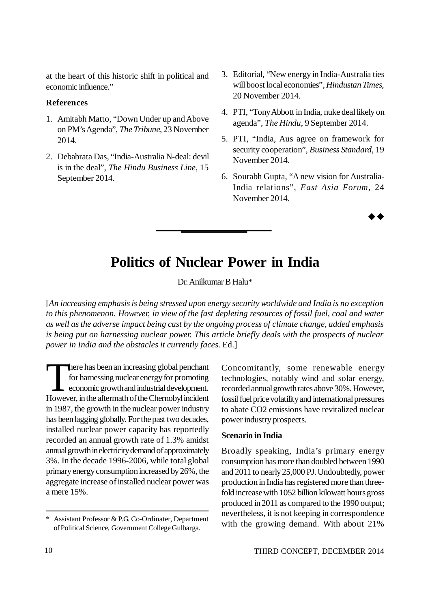at the heart of this historic shift in political and economic influence."

## **References**

- 1. Amitabh Matto, "Down Under up and Above on PM's Agenda", *The Tribune*, 23 November 2014.
- 2. Debabrata Das, "India-Australia N-deal: devil is in the deal", *The Hindu Business Line*, 15 September 2014.
- 3. Editorial, "New energy in India-Australia ties will boost local economies", *Hindustan Times*, 20 November 2014.
- 4. PTI, "Tony Abbott in India, nuke deal likely on agenda", *The Hindu*, 9 September 2014.
- 5. PTI, "India, Aus agree on framework for security cooperation", *Business Standard*, 19 November 2014.
- 6. Sourabh Gupta, "A new vision for Australia-India relations", *East Asia Forum*, 24 November 2014.

 $\rightarrow \rightarrow$ 

## **Politics of Nuclear Power in India**

Dr. Anilkumar B Halu\*

[*An increasing emphasis is being stressed upon energy security worldwide and India is no exception to this phenomenon. However, in view of the fast depleting resources of fossil fuel, coal and water as well as the adverse impact being cast by the ongoing process of climate change, added emphasis is being put on harnessing nuclear power. This article briefly deals with the prospects of nuclear power in India and the obstacles it currently faces.* Ed.]

There has been an increasing global penchant<br>for harnessing nuclear energy for promoting<br>economic growth and industrial development.<br>However, in the aftermath of the Chernobyl incident here has been an increasing global penchant for harnessing nuclear energy for promoting economic growth and industrial development. in 1987, the growth in the nuclear power industry has been lagging globally. For the past two decades, installed nuclear power capacity has reportedly recorded an annual growth rate of 1.3% amidst annual growth in electricity demand of approximately 3%. In the decade 1996-2006, while total global primary energy consumption increased by 26%, the aggregate increase of installed nuclear power was a mere 15%.

Concomitantly, some renewable energy technologies, notably wind and solar energy, recorded annual growth rates above 30%. However, fossil fuel price volatility and international pressures to abate CO2 emissions have revitalized nuclear power industry prospects.

## **Scenario in India**

Broadly speaking, India's primary energy consumption has more than doubled between 1990 and 2011 to nearly 25,000 PJ. Undoubtedly, power production in India has registered more than threefold increase with 1052 billion kilowatt hours gross produced in 2011 as compared to the 1990 output; nevertheless, it is not keeping in correspondence Assistant Professor & P.G. Co-Ordinater, Department<br>of Delitical Science Covernment College Culbrege.

of Political Science, Government College Gulbarga.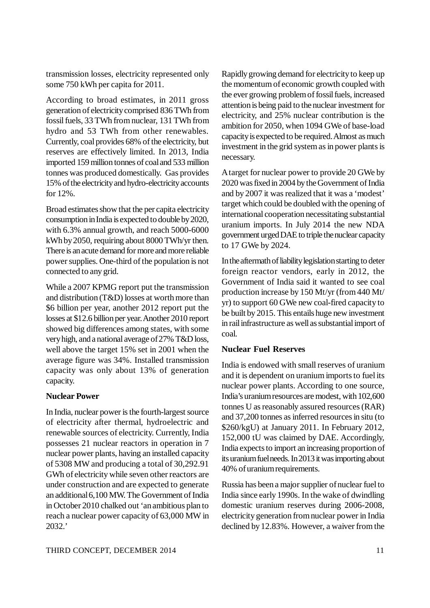transmission losses, electricity represented only some 750 kWh per capita for 2011.

According to broad estimates, in 2011 gross generation of electricity comprised 836 TWh from fossil fuels, 33 TWh from nuclear, 131 TWh from hydro and 53 TWh from other renewables. Currently, coal provides 68% of the electricity, but reserves are effectively limited. In 2013, India imported 159 million tonnes of coal and 533 million tonnes was produced domestically. Gas provides 15% of the electricity and hydro-electricity accounts for 12%.

Broad estimates show that the per capita electricity consumption in India is expected to double by 2020, with 6.3% annual growth, and reach 5000-6000 kWh by 2050, requiring about 8000 TWh/yr then. There is an acute demand for more and more reliable power supplies. One-third of the population is not connected to any grid.

While a 2007 KPMG report put the transmission and distribution (T&D) losses at worth more than \$6 billion per year, another 2012 report put the losses at \$12.6 billion per year. Another 2010 report showed big differences among states, with some very high, and a national average of 27% T&D loss, well above the target 15% set in 2001 when the average figure was 34%. Installed transmission capacity was only about 13% of generation capacity.

#### **Nuclear Power**

In India, nuclear power is the fourth-largest source of electricity after thermal, hydroelectric and renewable sources of electricity. Currently, India possesses 21 nuclear reactors in operation in 7 nuclear power plants, having an installed capacity of 5308 MW and producing a total of 30,292.91 GWh of electricity while seven other reactors are under construction and are expected to generate an additional 6,100 MW. The Government of India in October 2010 chalked out 'an ambitious plan to reach a nuclear power capacity of 63,000 MW in 2032.'

Rapidly growing demand for electricity to keep up the momentum of economic growth coupled with the ever growing problem of fossil fuels, increased attention is being paid to the nuclear investment for electricity, and 25% nuclear contribution is the ambition for 2050, when 1094 GWe of base-load capacity is expected to be required. Almost as much investment in the grid system as in power plants is necessary.

A target for nuclear power to provide 20 GWe by 2020 was fixed in 2004 by the Government of India and by 2007 it was realized that it was a 'modest' target which could be doubled with the opening of international cooperation necessitating substantial uranium imports. In July 2014 the new NDA government urged DAE to triple the nuclear capacity to 17 GWe by 2024.

In the aftermath of liability legislation starting to deter foreign reactor vendors, early in 2012, the Government of India said it wanted to see coal production increase by 150 Mt/yr (from 440 Mt/ yr) to support 60 GWe new coal-fired capacity to be built by 2015. This entails huge new investment in rail infrastructure as well as substantial import of coal.

#### **Nuclear Fuel Reserves**

India is endowed with small reserves of uranium and it is dependent on uranium imports to fuel its nuclear power plants. According to one source, India's uranium resources are modest, with 102,600 tonnes U as reasonably assured resources (RAR) and 37,200 tonnes as inferred resources in situ (to \$260/kgU) at January 2011. In February 2012, 152,000 tU was claimed by DAE. Accordingly, India expects to import an increasing proportion of its uranium fuel needs. In 2013 it was importing about 40% of uranium requirements.

Russia has been a major supplier of nuclear fuel to India since early 1990s. In the wake of dwindling domestic uranium reserves during 2006-2008, electricity generation from nuclear power in India declined by 12.83%. However, a waiver from the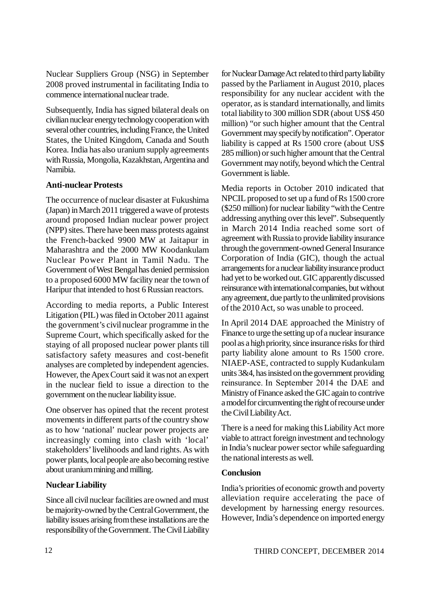Nuclear Suppliers Group (NSG) in September 2008 proved instrumental in facilitating India to commence international nuclear trade.

Subsequently, India has signed bilateral deals on civilian nuclear energy technology cooperation with several other countries, including France, the United States, the United Kingdom, Canada and South Korea. India has also uranium supply agreements with Russia, Mongolia, Kazakhstan, Argentina and Namibia.

## **Anti-nuclear Protests**

The occurrence of nuclear disaster at Fukushima (Japan) in March 2011 triggered a wave of protests around proposed Indian nuclear power project (NPP) sites. There have been mass protests against the French-backed 9900 MW at Jaitapur in Maharashtra and the 2000 MW Koodankulam Nuclear Power Plant in Tamil Nadu. The Government of West Bengal has denied permission to a proposed 6000 MW facility near the town of Haripur that intended to host 6 Russian reactors.

According to media reports, a Public Interest Litigation (PIL) was filed in October 2011 against the government's civil nuclear programme in the Supreme Court, which specifically asked for the staying of all proposed nuclear power plants till satisfactory safety measures and cost-benefit analyses are completed by independent agencies. However, the Apex Court said it was not an expert in the nuclear field to issue a direction to the government on the nuclear liability issue.

One observer has opined that the recent protest movements in different parts of the country show as to how 'national' nuclear power projects are increasingly coming into clash with 'local' stakeholders' livelihoods and land rights. As with power plants, local people are also becoming restive about uranium mining and milling.

## **Nuclear Liability**

Since all civil nuclear facilities are owned and must be majority-owned by the Central Government, the liability issues arising from these installations are the responsibility of the Government. The Civil Liability for Nuclear Damage Act related to third party liability passed by the Parliament in August 2010, places responsibility for any nuclear accident with the operator, as is standard internationally, and limits total liability to 300 million SDR (about US\$ 450 million) "or such higher amount that the Central Government may specify by notification". Operator liability is capped at Rs 1500 crore (about US\$ 285 million) or such higher amount that the Central Government may notify, beyond which the Central Government is liable.

Media reports in October 2010 indicated that NPCIL proposed to set up a fund of Rs 1500 crore (\$250 million) for nuclear liability "with the Centre addressing anything over this level". Subsequently in March 2014 India reached some sort of agreement with Russia to provide liability insurance through the government-owned General Insurance Corporation of India (GIC), though the actual arrangements for a nuclear liability insurance product had yet to be worked out. GIC apparently discussed reinsurance with international companies, but without any agreement, due partly to the unlimited provisions of the 2010 Act, so was unable to proceed.

In April 2014 DAE approached the Ministry of Finance to urge the setting up of a nuclear insurance pool as a high priority, since insurance risks for third party liability alone amount to Rs 1500 crore. NIAEP-ASE, contracted to supply Kudankulam units 3&4, has insisted on the government providing reinsurance. In September 2014 the DAE and Ministry of Finance asked the GIC again to contrive a model for circumventing the right of recourse under the Civil Liability Act.

There is a need for making this Liability Act more viable to attract foreign investment and technology in India's nuclear power sector while safeguarding the national interests as well.

## **Conclusion**

India's priorities of economic growth and poverty alleviation require accelerating the pace of development by harnessing energy resources. However, India's dependence on imported energy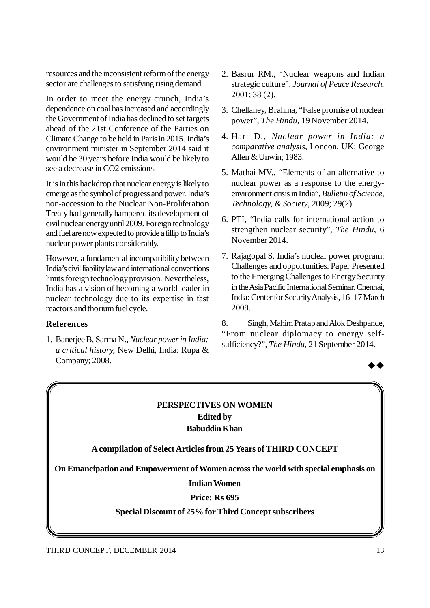resources and the inconsistent reform of the energy sector are challenges to satisfying rising demand.

In order to meet the energy crunch, India's dependence on coal has increased and accordingly the Government of India has declined to set targets ahead of the 21st Conference of the Parties on Climate Change to be held in Paris in 2015. India's environment minister in September 2014 said it would be 30 years before India would be likely to see a decrease in CO2 emissions.

It is in this backdrop that nuclear energy is likely to emerge as the symbol of progress and power. India's non-accession to the Nuclear Non-Proliferation Treaty had generally hampered its development of civil nuclear energy until 2009. Foreign technology and fuel are now expected to provide a fillip to India's nuclear power plants considerably.

However, a fundamental incompatibility between India's civil liability law and international conventions limits foreign technology provision. Nevertheless, India has a vision of becoming a world leader in nuclear technology due to its expertise in fast reactors and thorium fuel cycle.

## **References**

1. Banerjee B, Sarma N., *Nuclear power in India: a critical history,* New Delhi, India: Rupa & Company; 2008.

- 2. Basrur RM., "Nuclear weapons and Indian strategic culture", *Journal of Peace Research*, 2001; 38 (2).
- 3. Chellaney, Brahma, "False promise of nuclear power", *The Hindu*, 19 November 2014.
- 4. Hart D., *Nuclear power in India: a comparative analysis*, London, UK: George Allen & Unwin; 1983.
- 5. Mathai MV., "Elements of an alternative to nuclear power as a response to the energyenvironment crisis in India", *Bulletin of Science, Technology, & Society*, 2009; 29(2).
- 6. PTI, "India calls for international action to strengthen nuclear security", *The Hindu*, 6 November 2014.
- 7. Rajagopal S. India's nuclear power program: Challenges and opportunities. Paper Presented to the Emerging Challenges to Energy Security in the Asia Pacific International Seminar. Chennai, India: Center for Security Analysis, 16 -17 March 2009.

8. Singh, Mahim Pratap and Alok Deshpande, "From nuclear diplomacy to energy selfsufficiency?", *The Hindu*, 21 September 2014.

## **PERSPECTIVES ON WOMEN Edited by**

#### **Babuddin Khan**

**A compilation of Select Articles from 25 Years of THIRD CONCEPT**

**On Emancipation and Empowerment of Women across the world with special emphasis on**

**Indian Women**

**Price: Rs 695**

## **Special Discount of 25% for Third Concept subscribers**

 $\rightarrow \rightarrow$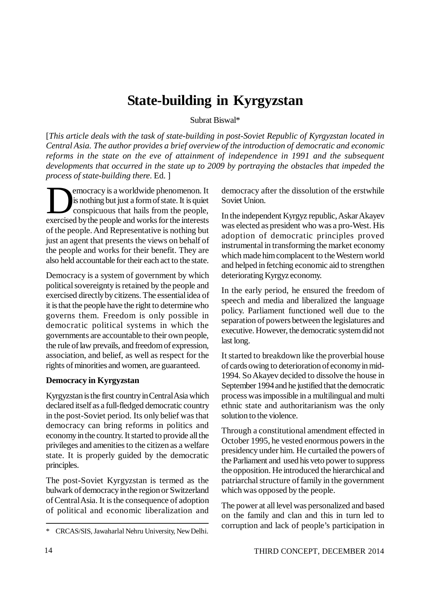# **State-building in Kyrgyzstan**

Subrat Biswal\*

[*This article deals with the task of state-building in post-Soviet Republic of Kyrgyzstan located in Central Asia. The author provides a brief overview of the introduction of democratic and economic reforms in the state on the eve of attainment of independence in 1991 and the subsequent developments that occurred in the state up to 2009 by portraying the obstacles that impeded the process of state-building there*. Ed. ]

emocracy is a worldwide phenomenon. It<br>is nothing but just a form of state. It is quiet<br>conspicuous that hails from the people,<br>exercised by the people and works for the interests emocracy is a worldwide phenomenon. It is nothing but just a form of state. It is quiet conspicuous that hails from the people, of the people. And Representative is nothing but just an agent that presents the views on behalf of the people and works for their benefit. They are also held accountable for their each act to the state.

Democracy is a system of government by which political sovereignty is retained by the people and exercised directly by citizens. The essential idea of it is that the people have the right to determine who governs them. Freedom is only possible in democratic political systems in which the governments are accountable to their own people, the rule of law prevails, and freedom of expression, association, and belief, as well as respect for the rights of minorities and women, are guaranteed.

## **Democracy in Kyrgyzstan**

Kyrgyzstan is the first country in Central Asia which declared itself as a full-fledged democratic country in the post-Soviet period. Its only belief was that democracy can bring reforms in politics and economy in the country. It started to provide all the privileges and amenities to the citizen as a welfare state. It is properly guided by the democratic principles.

The post-Soviet Kyrgyzstan is termed as the bulwark of democracy in the region or Switzerland of Central Asia. It is the consequence of adoption of political and economic liberalization and democracy after the dissolution of the erstwhile Soviet Union.

In the independent Kyrgyz republic, Askar Akayev was elected as president who was a pro-West. His adoption of democratic principles proved instrumental in transforming the market economy which made him complacent to the Western world and helped in fetching economic aid to strengthen deteriorating Kyrgyz economy.

In the early period, he ensured the freedom of speech and media and liberalized the language policy. Parliament functioned well due to the separation of powers between the legislatures and executive. However, the democratic system did not last long.

It started to breakdown like the proverbial house of cards owing to deterioration of economy in mid-1994. So Akayev decided to dissolve the house in September 1994 and he justified that the democratic process was impossible in a multilingual and multi ethnic state and authoritarianism was the only solution to the violence.

Through a constitutional amendment effected in October 1995, he vested enormous powers in the presidency under him. He curtailed the powers of the Parliament and used his veto power to suppress the opposition. He introduced the hierarchical and patriarchal structure of family in the government which was opposed by the people.

The power at all level was personalized and based on the family and clan and this in turn led to corruption and lack of people's participation in

<sup>\*</sup> CRCAS/SIS, Jawaharlal Nehru University, New Delhi.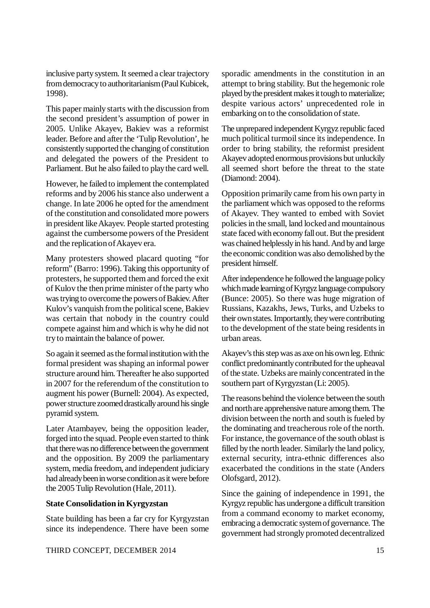inclusive party system. It seemed a clear trajectory from democracy to authoritarianism (Paul Kubicek, 1998).

This paper mainly starts with the discussion from the second president's assumption of power in 2005. Unlike Akayev, Bakiev was a reformist leader. Before and after the 'Tulip Revolution', he consistently supported the changing of constitution and delegated the powers of the President to Parliament. But he also failed to play the card well.

However, he failed to implement the contemplated reforms and by 2006 his stance also underwent a change. In late 2006 he opted for the amendment of the constitution and consolidated more powers in president like Akayev. People started protesting against the cumbersome powers of the President and the replication of Akayev era.

Many protesters showed placard quoting "for reform" (Barro: 1996). Taking this opportunity of protesters, he supported them and forced the exit of Kulov the then prime minister of the party who was trying to overcome the powers of Bakiev. After Kulov's vanquish from the political scene, Bakiev was certain that nobody in the country could compete against him and which is why he did not try to maintain the balance of power.

So again it seemed as the formal institution with the formal president was shaping an informal power structure around him. Thereafter he also supported in 2007 for the referendum of the constitution to augment his power (Burnell: 2004). As expected, power structure zoomed drastically around his single pyramid system.

Later Atambayev, being the opposition leader, forged into the squad. People even started to think that there was no difference between the government and the opposition. By 2009 the parliamentary system, media freedom, and independent judiciary had already been in worse condition as it were before the 2005 Tulip Revolution (Hale, 2011).

#### **State Consolidation in Kyrgyzstan**

State building has been a far cry for Kyrgyzstan since its independence. There have been some

sporadic amendments in the constitution in an attempt to bring stability. But the hegemonic role played by the president makes it tough to materialize; despite various actors' unprecedented role in embarking on to the consolidation of state.

The unprepared independent Kyrgyz republic faced much political turmoil since its independence. In order to bring stability, the reformist president Akayev adopted enormous provisions but unluckily all seemed short before the threat to the state (Diamond: 2004).

Opposition primarily came from his own party in the parliament which was opposed to the reforms of Akayev. They wanted to embed with Soviet policies in the small, land locked and mountainous state faced with economy fall out. But the president was chained helplessly in his hand. And by and large the economic condition was also demolished by the president himself.

After independence he followed the language policy which made learning of Kyrgyz language compulsory (Bunce: 2005). So there was huge migration of Russians, Kazakhs, Jews, Turks, and Uzbeks to their own states. Importantly, they were contributing to the development of the state being residents in urban areas.

Akayev's this step was as axe on his own leg. Ethnic conflict predominantly contributed for the upheaval of the state. Uzbeks are mainly concentrated in the southern part of Kyrgyzstan (Li: 2005).

The reasons behind the violence between the south and north are apprehensive nature among them. The division between the north and south is fueled by the dominating and treacherous role of the north. For instance, the governance of the south oblast is filled by the north leader. Similarly the land policy, external security, intra-ethnic differences also exacerbated the conditions in the state (Anders Olofsgard, 2012).

Since the gaining of independence in 1991, the Kyrgyz republic has undergone a difficult transition from a command economy to market economy, embracing a democratic system of governance. The government had strongly promoted decentralized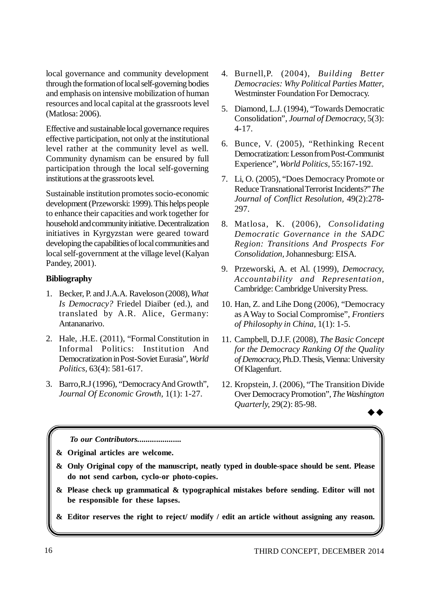local governance and community development through the formation of local self-governing bodies and emphasis on intensive mobilization of human resources and local capital at the grassroots level (Matlosa: 2006).

Effective and sustainable local governance requires effective participation, not only at the institutional level rather at the community level as well. Community dynamism can be ensured by full participation through the local self-governing institutions at the grassroots level.

Sustainable institution promotes socio-economic development (Przeworski: 1999). This helps people to enhance their capacities and work together for household and community initiative. Decentralization initiatives in Kyrgyzstan were geared toward developing the capabilities of local communities and local self-government at the village level (Kalyan Pandey, 2001).

## **Bibliography**

- 1. Becker, P. and J.A.A. Raveloson (2008), *What Is Democracy?* Friedel Diaiber (ed.), and translated by A.R. Alice, Germany: Antananarivo.
- 2. Hale, .H.E. (2011), "Formal Constitution in Informal Politics: Institution And Democratization in Post-Soviet Eurasia", *World Politics,* 63(4): 581-617.
- 3. Barro,R.J (1996), "Democracy And Growth", *Journal Of Economic Growth,* 1(1): 1-27.
- 4. Burnell,P. (2004), *Building Better Democracies: Why Political Parties Matter*, Westminster Foundation For Democracy.
- 5. Diamond, L.J. (1994), "Towards Democratic Consolidation", *Journal of Democracy,* 5(3): 4-17.
- 6. Bunce, V. (2005), "Rethinking Recent Democratization: Lesson from Post-Communist Experience", *World Politics,* 55:167-192.
- 7. Li, O. (2005), "Does Democracy Promote or Reduce Transnational Terrorist Incidents?" *The Journal of Conflict Resolution,* 49(2):278- 297.
- 8. Matlosa, K. (2006), *Consolidating Democratic Governance in the SADC Region: Transitions And Prospects For Consolidation,* Johannesburg: EISA.
- 9. Przeworski, A. et Al. (1999), *Democracy, Accountability and Representation,* Cambridge: Cambridge University Press.
- 10. Han, Z. and Lihe Dong (2006), "Democracy as A Way to Social Compromise", *Frontiers of Philosophy in China,* 1(1): 1-5.
- 11. Campbell, D.J.F. (2008), *The Basic Concept for the Democracy Ranking Of the Quality of Democracy,* Ph.D. Thesis, Vienna: University Of Klagenfurt.
- 12. Kropstein, J. (2006), "The Transition Divide Over Democracy Promotion", *The Washington Quarterly,* 29(2): 85-98.  $\rightarrow \rightarrow$

 *To our Contributors.....................*

**& Original articles are welcome.**

- **& Only Original copy of the manuscript, neatly typed in double-space should be sent. Please do not send carbon, cyclo-or photo-copies.**
- **& Please check up grammatical & typographical mistakes before sending. Editor will not be responsible for these lapses.**
- **& Editor reserves the right to reject/ modify / edit an article without assigning any reason.**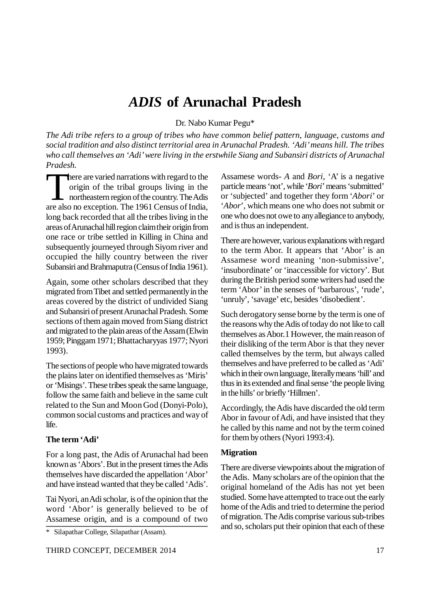## *ADIS* **of Arunachal Pradesh**

Dr. Nabo Kumar Pegu\*

*The Adi tribe refers to a group of tribes who have common belief pattern, language, customs and social tradition and also distinct territorial area in Arunachal Pradesh. 'Adi' means hill. The tribes who call themselves an 'Adi' were living in the erstwhile Siang and Subansiri districts of Arunachal Pradesh.*

are also here are varied narrations with regard to the origin of the tribal groups living in the northeastern region of the country. The Adis are also no exception. The 1961 Census of India, long back recorded that all the tribes living in the areas of Arunachal hill region claim their origin from one race or tribe settled in Killing in China and subsequently journeyed through Siyom river and occupied the hilly country between the river Subansiri and Brahmaputra (Census of India 1961).

Again, some other scholars described that they migrated from Tibet and settled permanently in the areas covered by the district of undivided Siang and Subansiri of present Arunachal Pradesh. Some sections of them again moved from Siang district and migrated to the plain areas of the Assam (Elwin 1959; Pinggam 1971; Bhattacharyyas 1977; Nyori 1993).

The sections of people who have migrated towards the plains later on identified themselves as 'Miris' or 'Misings'. These tribes speak the same language, follow the same faith and believe in the same cult related to the Sun and Moon God (Donyi-Polo), common social customs and practices and way of life.

## **The term 'Adi'**

For a long past, the Adis of Arunachal had been known as 'Abors'. But in the present times the Adis themselves have discarded the appellation 'Abor' and have instead wanted that they be called 'Adis'.

Tai Nyori, an Adi scholar, is of the opinion that the word 'Abor' is generally believed to be of Assamese origin, and is a compound of two

Silapathar College, Silapathar (Assam).

Assamese words- *A* and *Bori*, 'A' is a negative particle means 'not', while '*Bori*' means 'submitted' or 'subjected' and together they form '*Abori*' or '*Abor*', which means one who does not submit or one who does not owe to any allegiance to anybody, and is thus an independent.

There are however, various explanations with regard to the term Abor. It appears that 'Abor' is an Assamese word meaning 'non-submissive', 'insubordinate' or 'inaccessible for victory'. But during the British period some writers had used the term 'Abor' in the senses of 'barbarous', 'rude', 'unruly', 'savage' etc, besides 'disobedient'.

Such derogatory sense borne by the term is one of the reasons why the Adis of today do not like to call themselves as Abor.1 However, the main reason of their disliking of the term Abor is that they never called themselves by the term, but always called themselves and have preferred to be called as 'Adi' which in their own language, literally means 'hill' and thus in its extended and final sense 'the people living in the hills' or briefly 'Hillmen'.

Accordingly, the Adis have discarded the old term Abor in favour of Adi, and have insisted that they he called by this name and not by the term coined for them by others (Nyori 1993:4).

#### **Migration**

There are diverse viewpoints about the migration of the Adis. Many scholars are of the opinion that the original homeland of the Adis has not yet been studied. Some have attempted to trace out the early home of the Adis and tried to determine the period of migration. The Adis comprise various sub-tribes and so, scholars put their opinion that each of these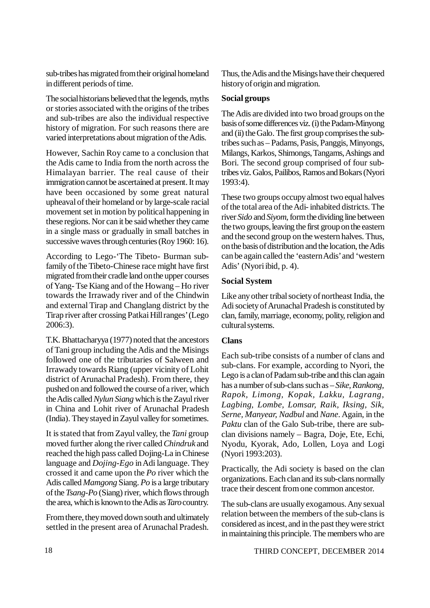sub-tribes has migrated from their original homeland in different periods of time.

The social historians believed that the legends, myths or stories associated with the origins of the tribes and sub-tribes are also the individual respective history of migration. For such reasons there are varied interpretations about migration of the Adis.

However, Sachin Roy came to a conclusion that the Adis came to India from the north across the Himalayan barrier. The real cause of their immigration cannot be ascertained at present. It may have been occasioned by some great natural upheaval of their homeland or by large-scale racial movement set in motion by political happening in these regions. Nor can it be said whether they came in a single mass or gradually in small batches in successive waves through centuries (Roy 1960: 16).

According to Lego-'The Tibeto- Burman subfamily of the Tibeto-Chinese race might have first migrated from their cradle land on the upper courses of Yang- Tse Kiang and of the Howang – Ho river towards the Irrawady river and of the Chindwin and external Tirap and Changlang district by the Tirap river after crossing Patkai Hill ranges' (Lego 2006:3).

T.K. Bhattacharyya (1977) noted that the ancestors of Tani group including the Adis and the Misings followed one of the tributaries of Salween and Irrawady towards Riang (upper vicinity of Lohit district of Arunachal Pradesh). From there, they pushed on and followed the course of a river, which the Adis called *Nylun Siang* which is the Zayul river in China and Lohit river of Arunachal Pradesh (India). They stayed in Zayul valley for sometimes.

It is stated that from Zayul valley, the *Tani* group moved further along the river called *Chindruk* and reached the high pass called Dojing-La in Chinese language and *Dojing-Ego* in Adi language. They crossed it and came upon the *Po* river which the Adis called *Mamgong* Siang. *Po* is a large tributary of the *Tsang-Po* (Siang) river, which flows through the area, which is known to the Adis as *Taro* country.

From there, they moved down south and ultimately settled in the present area of Arunachal Pradesh. Thus, the Adis and the Misings have their chequered history of origin and migration.

## **Social groups**

The Adis are divided into two broad groups on the basis of some differences viz. (i) the Padam-Minyong and (ii) the Galo. The first group comprises the subtribes such as – Padams, Pasis, Panggis, Minyongs, Milangs, Karkos, Shimongs, Tangams, Ashings and Bori. The second group comprised of four subtribes viz. Galos, Pailibos, Ramos and Bokars (Nyori 1993:4).

These two groups occupy almost two equal halves of the total area of the Adi- inhabited districts. The river *Sido* and *Siyom*, form the dividing line between the two groups, leaving the first group on the eastern and the second group on the western halves. Thus, on the basis of distribution and the location, the Adis can be again called the 'eastern Adis' and 'western Adis' (Nyori ibid, p. 4).

## **Social System**

Like any other tribal society of northeast India, the Adi society of Arunachal Pradesh is constituted by clan, family, marriage, economy, polity, religion and cultural systems.

## **Clans**

Each sub-tribe consists of a number of clans and sub-clans. For example, according to Nyori, the Lego is a clan of Padam sub-tribe and this clan again has a number of sub-clans such as – *Sike, Rankong, Rapok, Limong, Kopak, Lakku, Lagrang, Lagbing, Lombe, Lomsar, Raik, Iksing, Sik, Serne, Manyear, Nadbul* and *Nane*. Again, in the *Paktu* clan of the Galo Sub-tribe, there are subclan divisions namely – Bagra, Doje, Ete, Echi, Nyodu, Kyorak, Ado, Lollen, Loya and Logi (Nyori 1993:203).

Practically, the Adi society is based on the clan organizations. Each clan and its sub-clans normally trace their descent from one common ancestor.

The sub-clans are usually exogamous. Any sexual relation between the members of the sub-clans is considered as incest, and in the past they were strict in maintaining this principle. The members who are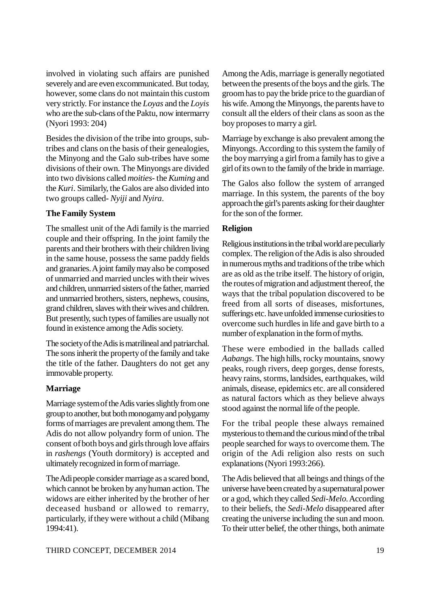involved in violating such affairs are punished severely and are even excommunicated. But today, however, some clans do not maintain this custom very strictly. For instance the *Loyas* and the *Loyis* who are the sub-clans of the Paktu, now intermarry (Nyori 1993: 204)

Besides the division of the tribe into groups, subtribes and clans on the basis of their genealogies, the Minyong and the Galo sub-tribes have some divisions of their own. The Minyongs are divided into two divisions called *moities*- the *Kuming* and the *Kuri*. Similarly, the Galos are also divided into two groups called- *Nyiji* and *Nyira*.

## **The Family System**

The smallest unit of the Adi family is the married couple and their offspring. In the joint family the parents and their brothers with their children living in the same house, possess the same paddy fields and granaries. A joint family may also be composed of unmarried and married uncles with their wives and children, unmarried sisters of the father, married and unmarried brothers, sisters, nephews, cousins, grand children, slaves with their wives and children. But presently, such types of families are usually not found in existence among the Adis society.

The society of the Adis is matrilineal and patriarchal. The sons inherit the property of the family and take the title of the father. Daughters do not get any immovable property.

## **Marriage**

Marriage system of the Adis varies slightly from one group to another, but both monogamy and polygamy forms of marriages are prevalent among them. The Adis do not allow polyandry form of union. The consent of both boys and girls through love affairs in *rashengs* (Youth dormitory) is accepted and ultimately recognized in form of marriage.

The Adi people consider marriage as a scared bond, which cannot be broken by any human action. The widows are either inherited by the brother of her deceased husband or allowed to remarry, particularly, if they were without a child (Mibang 1994:41).

Among the Adis, marriage is generally negotiated between the presents of the boys and the girls. The groom has to pay the bride price to the guardian of his wife. Among the Minyongs, the parents have to consult all the elders of their clans as soon as the boy proposes to marry a girl.

Marriage by exchange is also prevalent among the Minyongs. According to this system the family of the boy marrying a girl from a family has to give a girl of its own to the family of the bride in marriage.

The Galos also follow the system of arranged marriage. In this system, the parents of the boy approach the girl's parents asking for their daughter for the son of the former.

## **Religion**

Religious institutions in the tribal world are peculiarly complex. The religion of the Adis is also shrouded in numerous myths and traditions of the tribe which are as old as the tribe itself. The history of origin, the routes of migration and adjustment thereof, the ways that the tribal population discovered to be freed from all sorts of diseases, misfortunes, sufferings etc. have unfolded immense curiosities to overcome such hurdles in life and gave birth to a number of explanation in the form of myths.

These were embodied in the ballads called *Aabangs*. The high hills, rocky mountains, snowy peaks, rough rivers, deep gorges, dense forests, heavy rains, storms, landsides, earthquakes, wild animals, disease, epidemics etc. are all considered as natural factors which as they believe always stood against the normal life of the people.

For the tribal people these always remained mysterious to them and the curious mind of the tribal people searched for ways to overcome them. The origin of the Adi religion also rests on such explanations (Nyori 1993:266).

The Adis believed that all beings and things of the universe have been created by a supernatural power or a god, which they called *Sedi-Melo*. According to their beliefs, the *Sedi-Melo* disappeared after creating the universe including the sun and moon. To their utter belief, the other things, both animate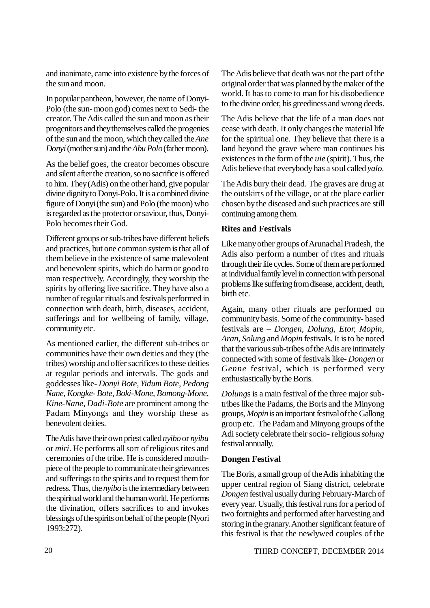and inanimate, came into existence by the forces of the sun and moon.

In popular pantheon, however, the name of Donyi-Polo (the sun- moon god) comes next to Sedi- the creator. The Adis called the sun and moon as their progenitors and they themselves called the progenies of the sun and the moon, which they called the *Ane Donyi* (mother sun) and the *Abu Polo* (father moon).

As the belief goes, the creator becomes obscure and silent after the creation, so no sacrifice is offered to him. They (Adis) on the other hand, give popular divine dignity to Donyi-Polo. It is a combined divine figure of Donyi (the sun) and Polo (the moon) who is regarded as the protector or saviour, thus, Donyi-Polo becomes their God.

Different groups or sub-tribes have different beliefs and practices, but one common system is that all of them believe in the existence of same malevolent and benevolent spirits, which do harm or good to man respectively. Accordingly, they worship the spirits by offering live sacrifice. They have also a number of regular rituals and festivals performed in connection with death, birth, diseases, accident, sufferings and for wellbeing of family, village, community etc.

As mentioned earlier, the different sub-tribes or communities have their own deities and they (the tribes) worship and offer sacrifices to these deities at regular periods and intervals. The gods and goddesses like- *Donyi Bote, Yidum Bote, Pedong Nane, Kongke- Bote, Boki-Mone, Bomong-Mone, Kine-Nane, Dadi-Bote* are prominent among the Padam Minyongs and they worship these as benevolent deities.

The Adis have their own priest called *nyibo* or *nyibu* or *miri*. He performs all sort of religious rites and ceremonies of the tribe. He is considered mouthpiece of the people to communicate their grievances and sufferings to the spirits and to request them for redress. Thus, the *nyibo* is the intermediary between the spiritual world and the human world. He performs the divination, offers sacrifices to and invokes blessings of the spirits on behalf of the people (Nyori 1993:272).

The Adis believe that death was not the part of the original order that was planned by the maker of the world. It has to come to man for his disobedience to the divine order, his greediness and wrong deeds.

The Adis believe that the life of a man does not cease with death. It only changes the material life for the spiritual one. They believe that there is a land beyond the grave where man continues his existences in the form of the *uie* (spirit). Thus, the Adis believe that everybody has a soul called *yalo*.

The Adis bury their dead. The graves are drug at the outskirts of the village, or at the place earlier chosen by the diseased and such practices are still continuing among them.

## **Rites and Festivals**

Like many other groups of Arunachal Pradesh, the Adis also perform a number of rites and rituals through their life cycles. Some of them are performed at individual family level in connection with personal problems like suffering from disease, accident, death, birth etc.

Again, many other rituals are performed on community basis. Some of the community- based festivals are – *Dongen, Dolung, Etor, Mopin, Aran, Solung* and *Mopin* festivals. It is to be noted that the various sub-tribes of the Adis are intimately connected with some of festivals like- *Dongen* or *Genne* festival, which is performed very enthusiastically by the Boris.

*Dolung*s is a main festival of the three major subtribes like the Padams, the Boris and the Minyong groups, *Mopin* is an important festival of the Gallong group etc. The Padam and Minyong groups of the Adi society celebrate their socio- religious *solung* festival annually.

## **Dongen Festival**

The Boris, a small group of the Adis inhabiting the upper central region of Siang district, celebrate *Dongen* festival usually during February-March of every year. Usually, this festival runs for a period of two fortnights and performed after harvesting and storing in the granary. Another significant feature of this festival is that the newlywed couples of the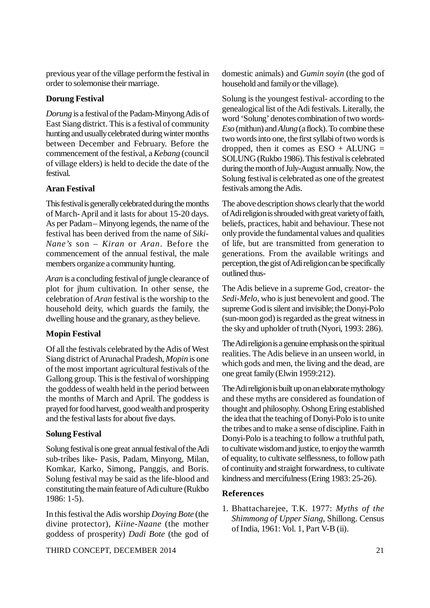previous year of the village perform the festival in order to solemonise their marriage.

## **Dorung Festival**

*Dorung* is a festival of the Padam-Minyong Adis of East Siang district. This is a festival of community hunting and usually celebrated during winter months between December and February. Before the commencement of the festival, a *Kebang* (council of village elders) is held to decide the date of the festival.

## **Aran Festival**

This festival is generally celebrated during the months of March- April and it lasts for about 15-20 days. As per Padam – Minyong legends, the name of the festival has been derived from the name of *Siki-Nane's* son – *Kiran* or *Aran*. Before the commencement of the annual festival, the male members organize a community hunting.

*Aran* is a concluding festival of jungle clearance of plot for jhum cultivation. In other sense, the celebration of *Aran* festival is the worship to the household deity, which guards the family, the dwelling house and the granary, as they believe.

## **Mopin Festival**

Of all the festivals celebrated by the Adis of West Siang district of Arunachal Pradesh, *Mopin* is one of the most important agricultural festivals of the Gallong group. This is the festival of worshipping the goddess of wealth held in the period between the months of March and April. The goddess is prayed for food harvest, good wealth and prosperity and the festival lasts for about five days.

## **Solung Festival**

Solung festival is one great annual festival of the Adi sub-tribes like- Pasis, Padam, Minyong, Milan, Komkar, Karko, Simong, Panggis, and Boris. Solung festival may be said as the life-blood and constituting the main feature of Adi culture (Rukbo 1986: 1-5).

In this festival the Adis worship *Doying Bote* (the divine protector), *Kiine-Naane* (the mother goddess of prosperity) *Dadi Bote* (the god of

THIRD CONCEPT, DECEMBER 2014 21

domestic animals) and *Gumin soyin* (the god of household and family or the village).

Solung is the youngest festival- according to the genealogical list of the Adi festivals. Literally, the word 'Solung' denotes combination of two words-*Eso* (mithun) and *Alung* (a flock). To combine these two words into one, the first syllabi of two words is dropped, then it comes as  $ESO + ALUNG =$ SOLUNG (Rukbo 1986). This festival is celebrated during the month of July-August annually. Now, the Solung festival is celebrated as one of the greatest festivals among the Adis.

The above description shows clearly that the world of Adi religion is shrouded with great variety of faith, beliefs, practices, habit and behaviour. These not only provide the fundamental values and qualities of life, but are transmitted from generation to generations. From the available writings and perception, the gist of Adi religion can be specifically outlined thus-

The Adis believe in a supreme God, creator- the *Sedi*-*Melo*, who is just benevolent and good. The supreme God is silent and invisible; the Donyi-Polo (sun-moon god) is regarded as the great witness in the sky and upholder of truth (Nyori, 1993: 286).

The Adi religion is a genuine emphasis on the spiritual realities. The Adis believe in an unseen world, in which gods and men, the living and the dead, are one great family (Elwin 1959:212).

The Adi religion is built up on an elaborate mythology and these myths are considered as foundation of thought and philosophy. Oshong Ering established the idea that the teaching of Donyi-Polo is to unite the tribes and to make a sense of discipline. Faith in Donyi-Polo is a teaching to follow a truthful path, to cultivate wisdom and justice, to enjoy the warmth of equality, to cultivate selflessness, to follow path of continuity and straight forwardness, to cultivate kindness and mercifulness (Ering 1983: 25-26).

## **References**

1. Bhattacharejee, T.K. 1977: *Myths of the Shimmong of Upper Siang,* Shillong. Census of India, 1961: Vol. 1, Part V-B (ii).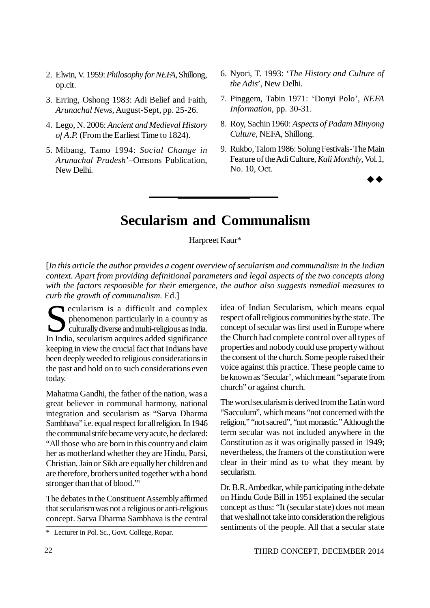- 2. Elwin, V. 1959: *Philosophy for NEFA*, Shillong, op.cit.
- 3. Erring, Oshong 1983: Adi Belief and Faith, *Arunachal News*, August-Sept, pp. 25-26.
- 4. Lego, N. 2006: *Ancient and Medieval History of A.P.* (From the Earliest Time to 1824).
- 5. Mibang, Tamo 1994: *Social Change in Arunachal Pradesh*'–Omsons Publication, New Delhi.
- 6. Nyori, T. 1993: '*The History and Culture of the Adis*', New Delhi.
- 7. Pinggem, Tabin 1971: 'Donyi Polo', *NEFA Information*, pp. 30-31.
- 8. Roy, Sachin 1960: *Aspects of Padam Minyong Culture*, NEFA, Shillong.
- 9. Rukbo, Talom 1986: Solung Festivals- The Main Feature of the Adi Culture, *Kali Monthly*, Vol.1, No. 10, Oct.

 $\rightarrow \rightarrow$ 

# **Secularism and Communalism**

Harpreet Kaur\*

[*In this article the author provides a cogent overview of secularism and communalism in the Indian context. Apart from providing definitional parameters and legal aspects of the two concepts along with the factors responsible for their emergence, the author also suggests remedial measures to curb the growth of communalism.* Ed.]

Secularism is a difficult and complex<br>phenomenon particularly in a country as<br>culturally diverse and multi-religious as India.<br>In India, secularism acquires added significance ecularism is a difficult and complex phenomenon particularly in a country as culturally diverse and multi-religious as India. keeping in view the crucial fact that Indians have been deeply weeded to religious considerations in the past and hold on to such considerations even today.

Mahatma Gandhi, the father of the nation, was a great believer in communal harmony, national integration and secularism as "Sarva Dharma Sambhava" i.e. equal respect for all religion. In 1946 the communal strife became very acute, he declared: "All those who are born in this country and claim her as motherland whether they are Hindu, Parsi, Christian, Jain or Sikh are equally her children and are therefore, brothers united together with a bond stronger than that of blood."<sup>1</sup>

The debates in the Constituent Assembly affirmed that secularism was not a religious or anti-religious concept. Sarva Dharma Sambhava is the central idea of Indian Secularism, which means equal respect of all religious communities by the state. The concept of secular was first used in Europe where the Church had complete control over all types of properties and nobody could use property without the consent of the church. Some people raised their voice against this practice. These people came to be known as 'Secular', which meant "separate from church" or against church.

The word secularism is derived from the Latin word "Sacculum", which means "not concerned with the religion," "not sacred", "not monastic." Although the term secular was not included anywhere in the Constitution as it was originally passed in 1949; nevertheless, the framers of the constitution were clear in their mind as to what they meant by secularism.

Dr. B.R. Ambedkar, while participating in the debate on Hindu Code Bill in 1951 explained the secular concept as thus: "It (secular state) does not mean that we shall not take into consideration the religious sentiments of the people. All that a secular state

<sup>\*</sup> Lecturer in Pol. Sc., Govt. College, Ropar.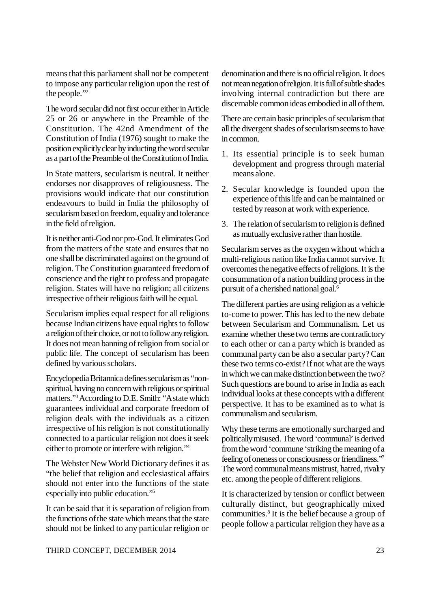means that this parliament shall not be competent to impose any particular religion upon the rest of the people."<sup>2</sup>

The word secular did not first occur either in Article 25 or 26 or anywhere in the Preamble of the Constitution. The 42nd Amendment of the Constitution of India (1976) sought to make the position explicitly clear by inducting the word secular as a part of the Preamble of the Constitution of India.

In State matters, secularism is neutral. It neither endorses nor disapproves of religiousness. The provisions would indicate that our constitution endeavours to build in India the philosophy of secularism based on freedom, equality and tolerance in the field of religion.

It is neither anti-God nor pro-God. It eliminates God from the matters of the state and ensures that no one shall be discriminated against on the ground of religion. The Constitution guaranteed freedom of conscience and the right to profess and propagate religion. States will have no religion; all citizens irrespective of their religious faith will be equal.

Secularism implies equal respect for all religions because Indian citizens have equal rights to follow a religion of their choice, or not to follow any religion. It does not mean banning of religion from social or public life. The concept of secularism has been defined by various scholars.

Encyclopedia Britannica defines secularism as "nonspiritual, having no concern with religious or spiritual matters."<sup>3</sup> According to D.E. Smith: "A state which guarantees individual and corporate freedom of religion deals with the individuals as a citizen irrespective of his religion is not constitutionally connected to a particular religion not does it seek either to promote or interfere with religion."<sup>4</sup>

The Webster New World Dictionary defines it as "the belief that religion and ecclesiastical affairs should not enter into the functions of the state especially into public education."<sup>5</sup>

It can be said that it is separation of religion from the functions of the state which means that the state should not be linked to any particular religion or

denomination and there is no official religion. It does not mean negation of religion. It is full of subtle shades involving internal contradiction but there are discernable common ideas embodied in all of them.

There are certain basic principles of secularism that all the divergent shades of secularism seems to have in common.

- 1. Its essential principle is to seek human development and progress through material means alone.
- 2. Secular knowledge is founded upon the experience of this life and can be maintained or tested by reason at work with experience.
- 3. The relation of secularism to religion is defined as mutually exclusive rather than hostile.

Secularism serves as the oxygen without which a multi-religious nation like India cannot survive. It overcomes the negative effects of religions. It is the consummation of a nation building process in the pursuit of a cherished national goal.<sup>6</sup>

The different parties are using religion as a vehicle to-come to power. This has led to the new debate between Secularism and Communalism. Let us examine whether these two terms are contradictory to each other or can a party which is branded as communal party can be also a secular party? Can these two terms co-exist? If not what are the ways in which we can make distinction between the two? Such questions are bound to arise in India as each individual looks at these concepts with a different perspective. It has to be examined as to what is communalism and secularism.

Why these terms are emotionally surcharged and politically misused. The word 'communal' is derived from the word 'commune 'striking the meaning of a feeling of oneness or consciousness or friendliness."<sup>7</sup> The word communal means mistrust, hatred, rivalry etc. among the people of different religions.

It is characterized by tension or conflict between culturally distinct, but geographically mixed communities.<sup>8</sup> It is the belief because a group of people follow a particular religion they have as a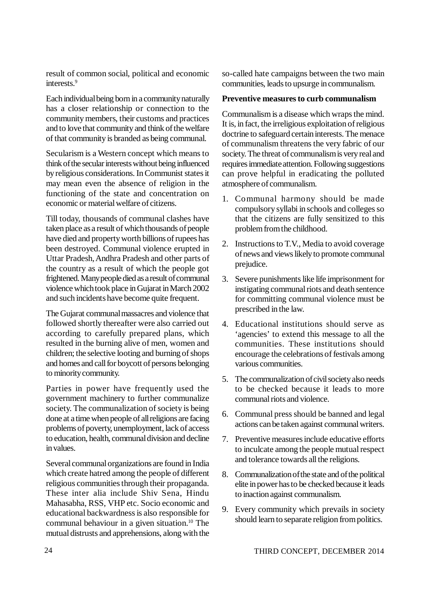result of common social, political and economic interests.<sup>9</sup>

Each individual being born in a community naturally has a closer relationship or connection to the community members, their customs and practices and to love that community and think of the welfare of that community is branded as being communal.

Secularism is a Western concept which means to think of the secular interests without being influenced by religious considerations. In Communist states it may mean even the absence of religion in the functioning of the state and concentration on economic or material welfare of citizens.

Till today, thousands of communal clashes have taken place as a result of which thousands of people have died and property worth billions of rupees has been destroyed. Communal violence erupted in Uttar Pradesh, Andhra Pradesh and other parts of the country as a result of which the people got frightened. Many people died as a result of communal violence which took place in Gujarat in March 2002 and such incidents have become quite frequent.

The Gujarat communal massacres and violence that followed shortly thereafter were also carried out according to carefully prepared plans, which resulted in the burning alive of men, women and children; the selective looting and burning of shops and homes and call for boycott of persons belonging to minority community.

Parties in power have frequently used the government machinery to further communalize society. The communalization of society is being done at a time when people of all religions are facing problems of poverty, unemployment, lack of access to education, health, communal division and decline in values.

Several communal organizations are found in India which create hatred among the people of different religious communities through their propaganda. These inter alia include Shiv Sena, Hindu Mahasabha, RSS, VHP etc. Socio economic and educational backwardness is also responsible for communal behaviour in a given situation.<sup>10</sup> The mutual distrusts and apprehensions, along with the so-called hate campaigns between the two main communities, leads to upsurge in communalism.

## **Preventive measures to curb communalism**

Communalism is a disease which wraps the mind. It is, in fact, the irreligious exploitation of religious doctrine to safeguard certain interests. The menace of communalism threatens the very fabric of our society. The threat of communalism is very real and requires immediate attention. Following suggestions can prove helpful in eradicating the polluted atmosphere of communalism.

- 1. Communal harmony should be made compulsory syllabi in schools and colleges so that the citizens are fully sensitized to this problem from the childhood.
- 2. Instructions to T.V., Media to avoid coverage of news and views likely to promote communal prejudice.
- 3. Severe punishments like life imprisonment for instigating communal riots and death sentence for committing communal violence must be prescribed in the law.
- 4. Educational institutions should serve as 'agencies' to extend this message to all the communities. These institutions should encourage the celebrations of festivals among various communities.
- 5. The communalization of civil society also needs to be checked because it leads to more communal riots and violence.
- 6. Communal press should be banned and legal actions can be taken against communal writers.
- 7. Preventive measures include educative efforts to inculcate among the people mutual respect and tolerance towards all the religions.
- 8. Communalization of the state and of the political elite in power has to be checked because it leads to inaction against communalism.
- 9. Every community which prevails in society should learn to separate religion from politics.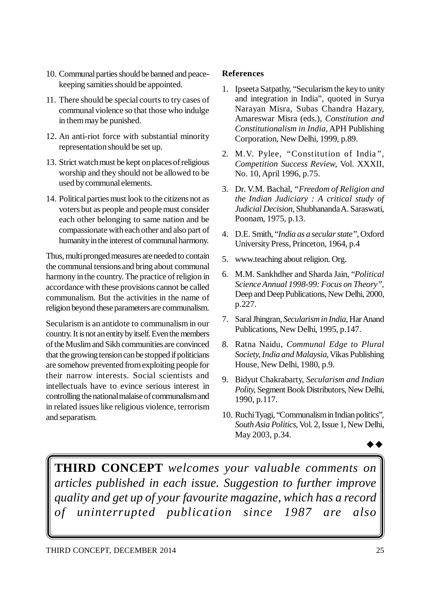- 10. Communal parties should be banned and peacekeeping samities should be appointed.
- 11. There should be special courts to try cases of communal violence so that those who indulge in them may be punished.
- 12. An anti-riot force with substantial minority representation should be set up.
- 13. Strict watch must be kept on places of religious worship and they should not be allowed to be used by communal elements.
- 14. Political parties must look to the citizens not as voters but as people and people must consider each other belonging to same nation and be compassionate with each other and also part of humanity in the interest of communal harmony.

Thus, multi pronged measures are needed to contain the communal tensions and bring about communal harmony in the country. The practice of religion in accordance with these provisions cannot be called communalism. But the activities in the name of religion beyond these parameters are communalism.

Secularism is an antidote to communalism in our country. It is not an entity by itself. Even the members of the Muslim and Sikh communities are convinced that the growing tension can be stopped if politicians are somehow prevented from exploiting people for their narrow interests. Social scientists and intellectuals have to evince serious interest in controlling the national malaise of communalism and in related issues like religious violence, terrorism and separatism.

## **References**

- 1. Ipseeta Satpathy, "Secularism the key to unity and integration in India", quoted in Surya Narayan Misra, Subas Chandra Hazary, Amareswar Misra (eds.), *Constitution and Constitutionalism in India*, APH Publishing Corporation, New Delhi, 1999, p.89.
- 2. M.V. Pylee, *"*Constitution of India*", Competition Success Review*, Vol. XXXII, No. 10, April 1996, p.75.
- 3. Dr. V.M. Bachal, *"Freedom of Religion and the Indian Judiciary : A critical study of Judicial Decision,* Shubhananda A. Saraswati, Poonam, 1975, p.13.
- 4. D.E. Smith, "*India as a secular state"*, Oxford University Press, Princeton, 1964, p.4
- 5. www.teaching about religion. Org.
- 6. M.M. Sankhdher and Sharda Jain, "*Political Science Annual 1998-99: Focus on Theory"*, Deep and Deep Publications, New Delhi, 2000, p.227.
- 7. Saral Jhingran, *Secularism in India*, Har Anand Publications, New Delhi, 1995, p.147.
- 8. Ratna Naidu, *Communal Edge to Plural Society, India and Malaysia*, Vikas Publishing House, New Delhi, 1980, p.9.
- 9. Bidyut Chakrabarty, *Secularism and Indian Polity,* Segment Book Distributors, New Delhi, 1990, p.117.
- 10. Ruchi Tyagi, "Communalism in Indian politics"*, South Asia Politics*, Vol. 2, Issue 1, New Delhi, May 2003, p.34.

 $\rightarrow \rightarrow$ 

**THIRD CONCEPT** *welcomes your valuable comments on articles published in each issue. Suggestion to further improve quality and get up of your favourite magazine, which has a record of uninterrupted publication since 1987 are also*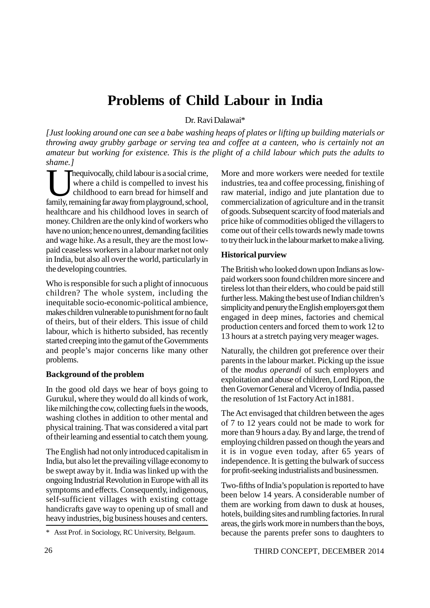# **Problems of Child Labour in India**

Dr. Ravi Dalawai\*

*[Just looking around one can see a babe washing heaps of plates or lifting up building materials or throwing away grubby garbage or serving tea and coffee at a canteen, who is certainly not an amateur but working for existence. This is the plight of a child labour which puts the adults to shame.]*

The property where a child is compelled to invest his childhood to earn bread for himself and family, remaining far away from playground, school, nequivocally, child labour is a social crime, where a child is compelled to invest his childhood to earn bread for himself and healthcare and his childhood loves in search of money. Children are the only kind of workers who have no union; hence no unrest, demanding facilities and wage hike. As a result, they are the most lowpaid ceaseless workers in a labour market not only in India, but also all over the world, particularly in the developing countries.

Who is responsible for such a plight of innocuous children? The whole system, including the inequitable socio-economic-political ambience, makes children vulnerable to punishment for no fault of theirs, but of their elders. This issue of child labour, which is hitherto subsided, has recently started creeping into the gamut of the Governments and people's major concerns like many other problems.

## **Background of the problem**

In the good old days we hear of boys going to Gurukul, where they would do all kinds of work, like milching the cow, collecting fuels in the woods, washing clothes in addition to other mental and physical training. That was considered a vital part of their learning and essential to catch them young.

The English had not only introduced capitalism in India, but also let the prevailing village economy to be swept away by it. India was linked up with the ongoing Industrial Revolution in Europe with all its symptoms and effects. Consequently, indigenous, self-sufficient villages with existing cottage handicrafts gave way to opening up of small and heavy industries, big business houses and centers.

More and more workers were needed for textile industries, tea and coffee processing, finishing of raw material, indigo and jute plantation due to commercialization of agriculture and in the transit of goods. Subsequent scarcity of food materials and price hike of commodities obliged the villagers to come out of their cells towards newly made towns to try their luck in the labour market to make a living.

### **Historical purview**

The British who looked down upon Indians as lowpaid workers soon found children more sincere and tireless lot than their elders, who could be paid still further less. Making the best use of Indian children's simplicity and penury the English employers got them engaged in deep mines, factories and chemical production centers and forced them to work 12 to 13 hours at a stretch paying very meager wages.

Naturally, the children got preference over their parents in the labour market. Picking up the issue of the *modus operandi* of such employers and exploitation and abuse of children, Lord Ripon, the then Governor General and Viceroy of India, passed the resolution of 1st Factory Act in1881.

The Act envisaged that children between the ages of 7 to 12 years could not be made to work for more than 9 hours a day. By and large, the trend of employing children passed on though the years and it is in vogue even today, after 65 years of independence. It is getting the bulwark of success for profit-seeking industrialists and businessmen.

Two-fifths of India's population is reported to have been below 14 years. A considerable number of them are working from dawn to dusk at houses, hotels, building sites and rumbling factories. In rural areas, the girls work more in numbers than the boys, because the parents prefer sons to daughters to

<sup>\*</sup> Asst Prof. in Sociology, RC University, Belgaum.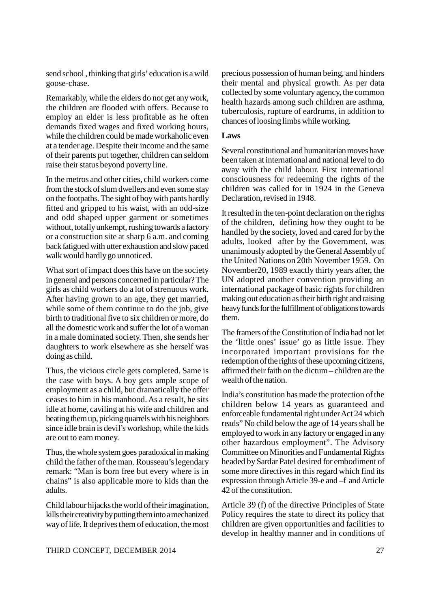send school , thinking that girls' education is a wild goose-chase.

Remarkably, while the elders do not get any work, the children are flooded with offers. Because to employ an elder is less profitable as he often demands fixed wages and fixed working hours, while the children could be made workaholic even at a tender age. Despite their income and the same of their parents put together, children can seldom raise their status beyond poverty line.

In the metros and other cities, child workers come from the stock of slum dwellers and even some stay on the footpaths. The sight of boy with pants hardly fitted and gripped to his waist, with an odd-size and odd shaped upper garment or sometimes without, totally unkempt, rushing towards a factory or a construction site at sharp 6 a.m. and coming back fatigued with utter exhaustion and slow paced walk would hardly go unnoticed.

What sort of impact does this have on the society in general and persons concerned in particular? The girls as child workers do a lot of strenuous work. After having grown to an age, they get married, while some of them continue to do the job, give birth to traditional five to six children or more, do all the domestic work and suffer the lot of a woman in a male dominated society. Then, she sends her daughters to work elsewhere as she herself was doing as child.

Thus, the vicious circle gets completed. Same is the case with boys. A boy gets ample scope of employment as a child, but dramatically the offer ceases to him in his manhood. As a result, he sits idle at home, caviling at his wife and children and beating them up, picking quarrels with his neighbors since idle brain is devil's workshop, while the kids are out to earn money.

Thus, the whole system goes paradoxical in making child the father of the man. Rousseau's legendary remark: "Man is born free but every where is in chains" is also applicable more to kids than the adults.

Child labour hijacks the world of their imagination, kills their creativity by putting them into a mechanized way of life. It deprives them of education, the most precious possession of human being, and hinders their mental and physical growth. As per data collected by some voluntary agency, the common health hazards among such children are asthma, tuberculosis, rupture of eardrums, in addition to chances of loosing limbs while working.

#### **Laws**

Several constitutional and humanitarian moves have been taken at international and national level to do away with the child labour. First international consciousness for redeeming the rights of the children was called for in 1924 in the Geneva Declaration, revised in 1948.

It resulted in the ten-point declaration on the rights of the children, defining how they ought to be handled by the society, loved and cared for by the adults, looked after by the Government, was unanimously adopted by the General Assembly of the United Nations on 20th November 1959. On November20, 1989 exactly thirty years after, the UN adopted another convention providing an international package of basic rights for children making out education as their birth right and raising heavy funds for the fulfillment of obligations towards them.

The framers of the Constitution of India had not let the 'little ones' issue' go as little issue. They incorporated important provisions for the redemption of the rights of these upcoming citizens, affirmed their faith on the dictum – children are the wealth of the nation.

India's constitution has made the protection of the children below 14 years as guaranteed and enforceable fundamental right under Act 24 which reads" No child below the age of 14 years shall be employed to work in any factory or engaged in any other hazardous employment". The Advisory Committee on Minorities and Fundamental Rights headed by Sardar Patel desired for embodiment of some more directives in this regard which find its expression through Article 39-e and –f and Article 42 of the constitution.

Article 39 (f) of the directive Principles of State Policy requires the state to direct its policy that children are given opportunities and facilities to develop in healthy manner and in conditions of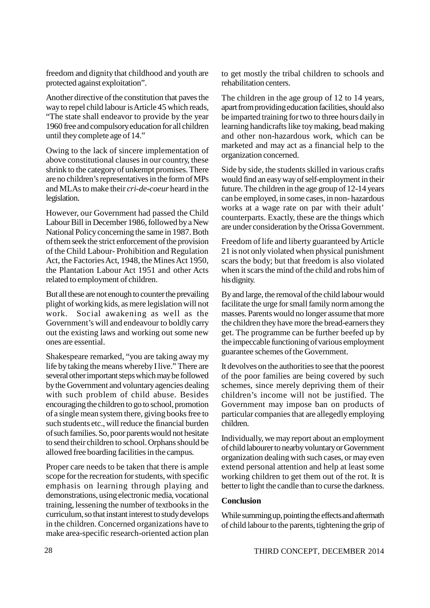freedom and dignity that childhood and youth are protected against exploitation".

Another directive of the constitution that paves the way to repel child labour is Article 45 which reads, "The state shall endeavor to provide by the year 1960 free and compulsory education for all children until they complete age of 14."

Owing to the lack of sincere implementation of above constitutional clauses in our country, these shrink to the category of unkempt promises. There are no children's representatives in the form of MPs and MLAs to make their *cri-de-coeur* heard in the legislation.

However, our Government had passed the Child Labour Bill in December 1986, followed by a New National Policy concerning the same in 1987. Both of them seek the strict enforcement of the provision of the Child Labour- Prohibition and Regulation Act, the Factories Act, 1948, the Mines Act 1950, the Plantation Labour Act 1951 and other Acts related to employment of children.

But all these are not enough to counter the prevailing plight of working kids, as mere legislation will not work. Social awakening as well as the Government's will and endeavour to boldly carry out the existing laws and working out some new ones are essential.

Shakespeare remarked, "you are taking away my life by taking the means whereby I live." There are several other important steps which may be followed by the Government and voluntary agencies dealing with such problem of child abuse. Besides encouraging the children to go to school, promotion of a single mean system there, giving books free to such students etc., will reduce the financial burden of such families. So, poor parents would not hesitate to send their children to school. Orphans should be allowed free boarding facilities in the campus.

Proper care needs to be taken that there is ample scope for the recreation for students, with specific emphasis on learning through playing and demonstrations, using electronic media, vocational training, lessening the number of textbooks in the curriculum, so that instant interest to study develops in the children. Concerned organizations have to make area-specific research-oriented action plan to get mostly the tribal children to schools and rehabilitation centers.

The children in the age group of 12 to 14 years, apart from providing education facilities, should also be imparted training for two to three hours daily in learning handicrafts like toy making, bead making and other non-hazardous work, which can be marketed and may act as a financial help to the organization concerned.

Side by side, the students skilled in various crafts would find an easy way of self-employment in their future. The children in the age group of 12-14 years can be employed, in some cases, in non- hazardous works at a wage rate on par with their adult' counterparts. Exactly, these are the things which are under consideration by the Orissa Government.

Freedom of life and liberty guaranteed by Article 21 is not only violated when physical punishment scars the body; but that freedom is also violated when it scars the mind of the child and robs him of his dignity.

By and large, the removal of the child labour would facilitate the urge for small family norm among the masses. Parents would no longer assume that more the children they have more the bread-earners they get. The programme can be further beefed up by the impeccable functioning of various employment guarantee schemes of the Government.

It devolves on the authorities to see that the poorest of the poor families are being covered by such schemes, since merely depriving them of their children's income will not be justified. The Government may impose ban on products of particular companies that are allegedly employing children.

Individually, we may report about an employment of child labourer to nearby voluntary or Government organization dealing with such cases, or may even extend personal attention and help at least some working children to get them out of the rot. It is better to light the candle than to curse the darkness.

## **Conclusion**

While summing up, pointing the effects and aftermath of child labour to the parents, tightening the grip of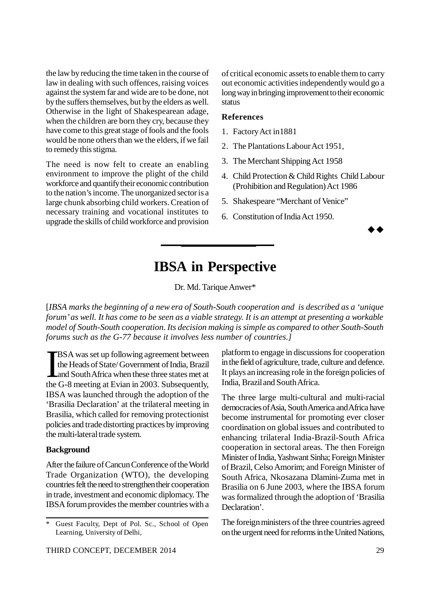the law by reducing the time taken in the course of law in dealing with such offences, raising voices against the system far and wide are to be done, not by the suffers themselves, but by the elders as well. Otherwise in the light of Shakespearean adage, when the children are born they cry, because they have come to this great stage of fools and the fools would be none others than we the elders, if we fail to remedy this stigma.

The need is now felt to create an enabling environment to improve the plight of the child workforce and quantify their economic contribution to the nation's income. The unorganized sector is a large chunk absorbing child workers. Creation of necessary training and vocational institutes to upgrade the skills of child workforce and provision of critical economic assets to enable them to carry out economic activities independently would go a long way in bringing improvement to their economic status

#### **References**

- 1. Factory Act in1881
- 2. The Plantations Labour Act 1951,
- 3. The Merchant Shipping Act 1958
- 4. Child Protection & Child Rights Child Labour (Prohibition and Regulation) Act 1986
- 5. Shakespeare "Merchant of Venice"
- 6. Constitution of India Act 1950.

## **IBSA in Perspective**

#### Dr. Md. Tarique Anwer\*

[*IBSA marks the beginning of a new era of South-South cooperation and is described as a 'unique forum' as well. It has come to be seen as a viable strategy. It is an attempt at presenting a workable model of South-South cooperation. Its decision making is simple as compared to other South-South forums such as the G-77 because it involves less number of countries.]*

**ESA** was set up following agreement between<br>the Heads of State/Government of India, Brazil<br>and South Africa when these three states met at<br>the G-8 meeting at Evian in 2003. Subsequently, BSA was set up following agreement between the Heads of State/ Government of India, Brazil and South Africa when these three states met at IBSA was launched through the adoption of the 'Brasilia Declaration' at the trilateral meeting in Brasilia, which called for removing protectionist policies and trade distorting practices by improving the multi-lateral trade system.

#### **Background**

After the failure of Cancun Conference of the World Trade Organization (WTO), the developing countries felt the need to strengthen their cooperation in trade, investment and economic diplomacy. The IBSA forum provides the member countries with a

platform to engage in discussions for cooperation in the field of agriculture, trade, culture and defence. It plays an increasing role in the foreign policies of India, Brazil and South Africa.

The three large multi-cultural and multi-racial democracies of Asia, South America and Africa have become instrumental for promoting ever closer coordination on global issues and contributed to enhancing trilateral India-Brazil-South Africa cooperation in sectoral areas. The then Foreign Minister of India, Yashwant Sinha; Foreign Minister of Brazil, Celso Amorim; and Foreign Minister of South Africa, Nkosazana Dlamini-Zuma met in Brasilia on 6 June 2003, where the IBSA forum was formalized through the adoption of 'Brasilia Declaration'.

The foreign ministers of the three countries agreed on the urgent need for reforms in the United Nations,

 $\rightarrow \rightarrow$ 

Guest Faculty, Dept of Pol. Sc., School of Open Learning, University of Delhi,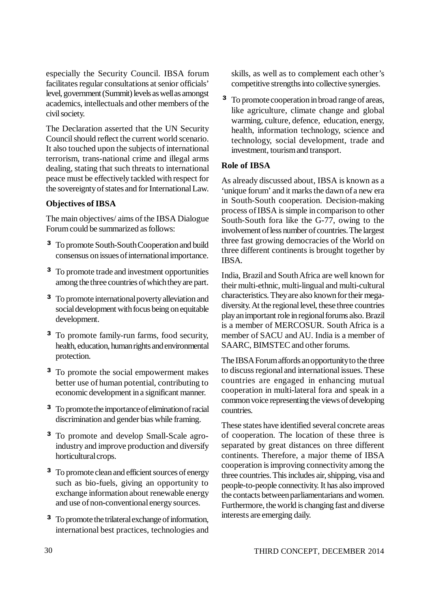especially the Security Council. IBSA forum facilitates regular consultations at senior officials' level, government (Summit) levels as well as amongst academics, intellectuals and other members of the civil society.

The Declaration asserted that the UN Security Council should reflect the current world scenario. It also touched upon the subjects of international terrorism, trans-national crime and illegal arms dealing, stating that such threats to international peace must be effectively tackled with respect for the sovereignty of states and for International Law.

## **Objectives of IBSA**

The main objectives/ aims of the IBSA Dialogue Forum could be summarized as follows:

- **³** To promote South-South Cooperation and build consensus on issues of international importance.
- **³** To promote trade and investment opportunities among the three countries of which they are part.
- **³** To promote international poverty alleviation and social development with focus being on equitable development.
- **³** To promote family-run farms, food security, health, education, human rights and environmental protection.
- **³** To promote the social empowerment makes better use of human potential, contributing to economic development in a significant manner.
- **³** To promote the importance of elimination of racial discrimination and gender bias while framing.
- **³** To promote and develop Small-Scale agroindustry and improve production and diversify horticultural crops.
- **³** To promote clean and efficient sources of energy such as bio-fuels, giving an opportunity to exchange information about renewable energy and use of non-conventional energy sources.
- **³** To promote the trilateral exchange of information, international best practices, technologies and

skills, as well as to complement each other's competitive strengths into collective synergies.

**³** To promote cooperation in broad range of areas, like agriculture, climate change and global warming, culture, defence, education, energy, health, information technology, science and technology, social development, trade and investment, tourism and transport.

## **Role of IBSA**

As already discussed about, IBSA is known as a 'unique forum' and it marks the dawn of a new era in South-South cooperation. Decision-making process of IBSA is simple in comparison to other South-South fora like the G-77, owing to the involvement of less number of countries. The largest three fast growing democracies of the World on three different continents is brought together by IBSA.

India, Brazil and South Africa are well known for their multi-ethnic, multi-lingual and multi-cultural characteristics. They are also known for their megadiversity. At the regional level, these three countries play an important role in regional forums also. Brazil is a member of MERCOSUR. South Africa is a member of SACU and AU. India is a member of SAARC, BIMSTEC and other forums.

The IBSA Forum affords an opportunity to the three to discuss regional and international issues. These countries are engaged in enhancing mutual cooperation in multi-lateral fora and speak in a common voice representing the views of developing countries.

These states have identified several concrete areas of cooperation. The location of these three is separated by great distances on three different continents. Therefore, a major theme of IBSA cooperation is improving connectivity among the three countries. This includes air, shipping, visa and people-to-people connectivity. It has also improved the contacts between parliamentarians and women. Furthermore, the world is changing fast and diverse interests are emerging daily.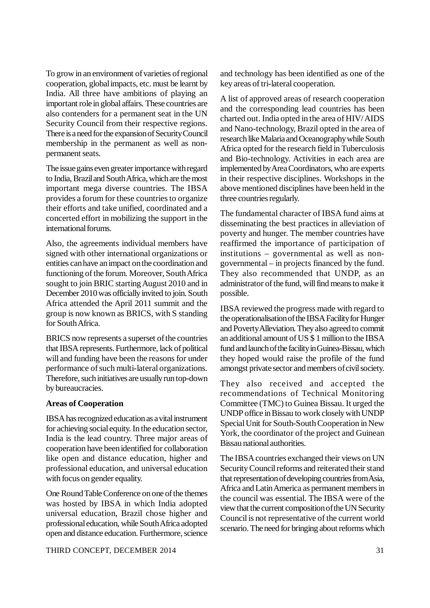To grow in an environment of varieties of regional cooperation, global impacts, etc. must be learnt by India. All three have ambitions of playing an important role in global affairs. These countries are also contenders for a permanent seat in the UN Security Council from their respective regions. There is a need for the expansion of Security Council membership in the permanent as well as nonpermanent seats.

The issue gains even greater importance with regard to India, Brazil and South Africa, which are the most important mega diverse countries. The IBSA provides a forum for these countries to organize their efforts and take unified, coordinated and a concerted effort in mobilizing the support in the international forums.

Also, the agreements individual members have signed with other international organizations or entities can have an impact on the coordination and functioning of the forum. Moreover, South Africa sought to join BRIC starting August 2010 and in December 2010 was officially invited to join. South Africa attended the April 2011 summit and the group is now known as BRICS, with S standing for South Africa.

BRICS now represents a superset of the countries that IBSA represents. Furthermore, lack of political will and funding have been the reasons for under performance of such multi-lateral organizations. Therefore, such initiatives are usually run top-down by bureaucracies.

#### **Areas of Cooperation**

IBSA has recognized education as a vital instrument for achieving social equity. In the education sector, India is the lead country. Three major areas of cooperation have been identified for collaboration like open and distance education, higher and professional education, and universal education with focus on gender equality.

One Round Table Conference on one of the themes was hosted by IBSA in which India adopted universal education, Brazil chose higher and professional education, while South Africa adopted open and distance education. Furthermore, science

THIRD CONCEPT, DECEMBER 2014 31

and technology has been identified as one of the key areas of tri-lateral cooperation.

A list of approved areas of research cooperation and the corresponding lead countries has been charted out. India opted in the area of HIV/ AIDS and Nano-technology, Brazil opted in the area of research like Malaria and Oceanography while South Africa opted for the research field in Tuberculosis and Bio-technology. Activities in each area are implemented by Area Coordinators, who are experts in their respective disciplines. Workshops in the above mentioned disciplines have been held in the three countries regularly.

The fundamental character of IBSA fund aims at disseminating the best practices in alleviation of poverty and hunger. The member countries have reaffirmed the importance of participation of institutions – governmental as well as nongovernmental – in projects financed by the fund. They also recommended that UNDP, as an administrator of the fund, will find means to make it possible.

IBSA reviewed the progress made with regard to the operationalisation of the IBSA Facility for Hunger and Poverty Alleviation. They also agreed to commit an additional amount of US \$ 1 million to the IBSA fund and launch of the facility in Guinea-Bissau, which they hoped would raise the profile of the fund amongst private sector and members of civil society.

They also received and accepted the recommendations of Technical Monitoring Committee (TMC) to Guinea Bissau. It urged the UNDP office in Bissau to work closely with UNDP Special Unit for South-South Cooperation in New York, the coordinator of the project and Guinean Bissau national authorities.

The IBSA countries exchanged their views on UN Security Council reforms and reiterated their stand that representation of developing countries from Asia, Africa and Latin America as permanent members in the council was essential. The IBSA were of the view that the current composition of the UN Security Council is not representative of the current world scenario. The need for bringing about reforms which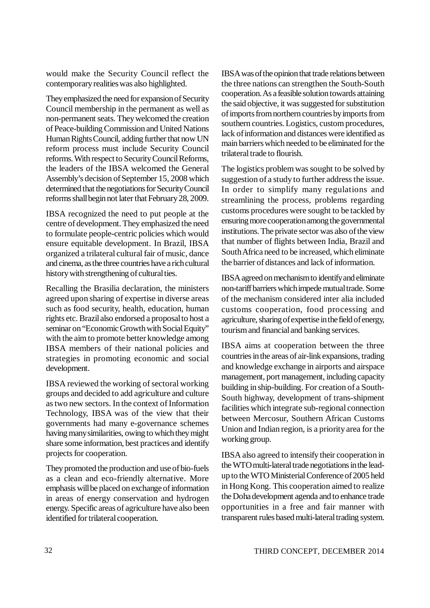would make the Security Council reflect the contemporary realities was also highlighted.

They emphasized the need for expansion of Security Council membership in the permanent as well as non-permanent seats. They welcomed the creation of Peace-building Commission and United Nations Human Rights Council, adding further that now UN reform process must include Security Council reforms. With respect to Security Council Reforms, the leaders of the IBSA welcomed the General Assembly's decision of September 15, 2008 which determined that the negotiations for Security Council reforms shall begin not later that February 28, 2009.

IBSA recognized the need to put people at the centre of development. They emphasized the need to formulate people-centric policies which would ensure equitable development. In Brazil, IBSA organized a trilateral cultural fair of music, dance and cinema, as the three countries have a rich cultural history with strengthening of cultural ties.

Recalling the Brasilia declaration, the ministers agreed upon sharing of expertise in diverse areas such as food security, health, education, human rights etc. Brazil also endorsed a proposal to host a seminar on "Economic Growth with Social Equity" with the aim to promote better knowledge among IBSA members of their national policies and strategies in promoting economic and social development.

IBSA reviewed the working of sectoral working groups and decided to add agriculture and culture as two new sectors. In the context of Information Technology, IBSA was of the view that their governments had many e-governance schemes having many similarities, owing to which they might share some information, best practices and identify projects for cooperation.

They promoted the production and use of bio-fuels as a clean and eco-friendly alternative. More emphasis will be placed on exchange of information in areas of energy conservation and hydrogen energy. Specific areas of agriculture have also been identified for trilateral cooperation.

IBSA was of the opinion that trade relations between the three nations can strengthen the South-South cooperation. As a feasible solution towards attaining the said objective, it was suggested for substitution of imports from northern countries by imports from southern countries. Logistics, custom procedures, lack of information and distances were identified as main barriers which needed to be eliminated for the trilateral trade to flourish.

The logistics problem was sought to be solved by suggestion of a study to further address the issue. In order to simplify many regulations and streamlining the process, problems regarding customs procedures were sought to be tackled by ensuring more cooperation among the governmental institutions. The private sector was also of the view that number of flights between India, Brazil and South Africa need to be increased, which eliminate the barrier of distances and lack of information.

IBSA agreed on mechanism to identify and eliminate non-tariff barriers which impede mutual trade. Some of the mechanism considered inter alia included customs cooperation, food processing and agriculture, sharing of expertise in the field of energy, tourism and financial and banking services.

IBSA aims at cooperation between the three countries in the areas of air-link expansions, trading and knowledge exchange in airports and airspace management, port management, including capacity building in ship-building. For creation of a South-South highway, development of trans-shipment facilities which integrate sub-regional connection between Mercosur, Southern African Customs Union and Indian region, is a priority area for the working group.

IBSA also agreed to intensify their cooperation in the WTO multi-lateral trade negotiations in the leadup to the WTO Ministerial Conference of 2005 held in Hong Kong. This cooperation aimed to realize the Doha development agenda and to enhance trade opportunities in a free and fair manner with transparent rules based multi-lateral trading system.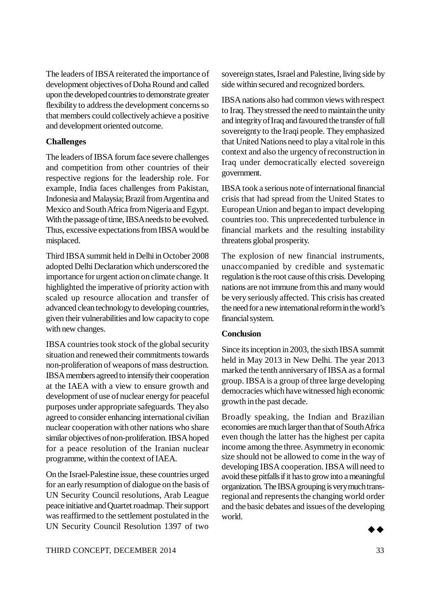The leaders of IBSA reiterated the importance of development objectives of Doha Round and called upon the developed countries to demonstrate greater flexibility to address the development concerns so that members could collectively achieve a positive and development oriented outcome.

### **Challenges**

The leaders of IBSA forum face severe challenges and competition from other countries of their respective regions for the leadership role. For example, India faces challenges from Pakistan, Indonesia and Malaysia; Brazil from Argentina and Mexico and South Africa from Nigeria and Egypt. With the passage of time, IBSA needs to be evolved. Thus, excessive expectations from IBSA would be misplaced.

Third IBSA summit held in Delhi in October 2008 adopted Delhi Declaration which underscored the importance for urgent action on climate change. It highlighted the imperative of priority action with scaled up resource allocation and transfer of advanced clean technology to developing countries, given their vulnerabilities and low capacity to cope with new changes.

IBSA countries took stock of the global security situation and renewed their commitments towards non-proliferation of weapons of mass destruction. IBSA members agreed to intensify their cooperation at the IAEA with a view to ensure growth and development of use of nuclear energy for peaceful purposes under appropriate safeguards. They also agreed to consider enhancing international civilian nuclear cooperation with other nations who share similar objectives of non-proliferation. IBSA hoped for a peace resolution of the Iranian nuclear programme, within the context of IAEA.

On the Israel-Palestine issue, these countries urged for an early resumption of dialogue on the basis of UN Security Council resolutions, Arab League peace initiative and Quartet roadmap. Their support was reaffirmed to the settlement postulated in the UN Security Council Resolution 1397 of two

sovereign states, Israel and Palestine, living side by side within secured and recognized borders.

IBSA nations also had common views with respect to Iraq. They stressed the need to maintain the unity and integrity of Iraq and favoured the transfer of full sovereignty to the Iraqi people. They emphasized that United Nations need to play a vital role in this context and also the urgency of reconstruction in Iraq under democratically elected sovereign government.

IBSA took a serious note of international financial crisis that had spread from the United States to European Union and began to impact developing countries too. This unprecedented turbulence in financial markets and the resulting instability threatens global prosperity.

The explosion of new financial instruments, unaccompanied by credible and systematic regulation is the root cause of this crisis. Developing nations are not immune from this and many would be very seriously affected. This crisis has created the need for a new international reform in the world's financial system.

#### **Conclusion**

Since its inception in 2003, the sixth IBSA summit held in May 2013 in New Delhi. The year 2013 marked the tenth anniversary of IBSA as a formal group. IBSA is a group of three large developing democracies which have witnessed high economic growth in the past decade.

Broadly speaking, the Indian and Brazilian economies are much larger than that of South Africa even though the latter has the highest per capita income among the three. Asymmetry in economic size should not be allowed to come in the way of developing IBSA cooperation. IBSA will need to avoid these pitfalls if it has to grow into a meaningful organization. The IBSA grouping is very much transregional and represents the changing world order and the basic debates and issues of the developing world.

 $\rightarrow \rightarrow$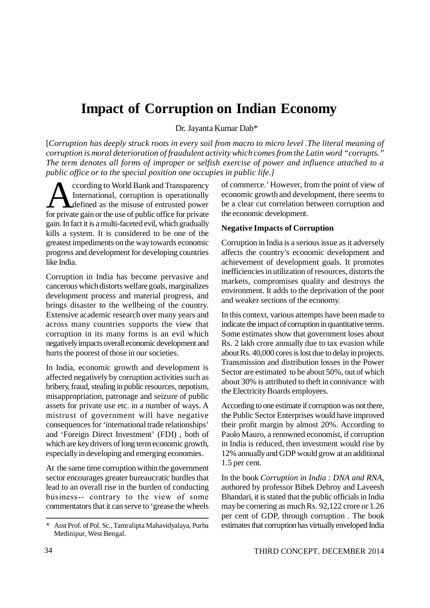# **Impact of Corruption on Indian Economy**

Dr. Jayanta Kumar Dab\*

[*Corruption has deeply struck roots in every soil from macro to micro level .The literal meaning of corruption is moral deterioration of fraudulent activity which comes from the Latin word "corrupts." The term denotes all forms of improper or selfish exercise of power and influence attached to a public office or to the special position one occupies in public life.]*

cording to World Bank and Transparency<br>International, corruption is operationally<br>defined as the misuse of entrusted power<br>for private gain or the use of public office for private ccording to World Bank and Transparency International, corruption is operationally defined as the misuse of entrusted power gain. In fact it is a multi-faceted evil, which gradually kills a system. It is considered to be one of the greatest impediments on the way towards economic progress and development for developing countries like India.

Corruption in India has become pervasive and cancerous which distorts welfare goals, marginalizes development process and material progress, and brings disaster to the wellbeing of the country. Extensive academic research over many years and across many countries supports the view that corruption in its many forms is an evil which negatively impacts overall economic development and hurts the poorest of those in our societies.

In India, economic growth and development is affected negatively by corruption activities such as bribery, fraud, stealing in public resources, nepotism, misappropriation, patronage and seizure of public assets for private use etc. in a number of ways. A mistrust of government will have negative consequences for 'international trade relationships' and 'Foreign Direct Investment' (FDI) , both of which are key drivers of long term economic growth, especially in developing and emerging economies.

At the same time corruption within the government sector encourages greater bureaucratic hurdles that lead to an overall rise in the burden of conducting business-- contrary to the view of some commentators that it can serve to 'grease the wheels

of commerce.' However, from the point of view of economic growth and development, there seems to be a clear cut correlation between corruption and the economic development.

## **Negative Impacts of Corruption**

Corruption in India is a serious issue as it adversely affects the country's economic development and achievement of development goals. It promotes inefficiencies in utilization of resources, distorts the markets, compromises quality and destroys the environment. It adds to the deprivation of the poor and weaker sections of the economy.

In this context, various attempts have been made to indicate the impact of corruption in quantitative terms. Some estimates show that government loses about Rs. 2 lakh crore annually due to tax evasion while about Rs. 40,000 cores is lost due to delay in projects. Transmission and distribution losses in the Power Sector are estimated to be about 50%, out of which about 30% is attributed to theft in connivance with the Electricity Boards employees.

According to one estimate if corruption was not there, the Public Sector Enterprises would have improved their profit margin by almost 20%. According to Paolo Mauro, a renowned economist, if corruption in India is reduced, then investment would rise by 12% annually and GDP would grow at an additional 1.5 per cent.

In the book *Corruption in India : DNA and RNA*, authored by professor Bibek Debroy and Laveesh Bhandari, it is stated that the public officials in India may be cornering as much Rs. 92,122 crore or 1.26 per cent of GDP, through corruption . The book estimates that corruption has virtually enveloped India

Asst Prof. of Pol. Sc., Tamralipta Mahavidyalaya, Purba Medinipur, West Bengal.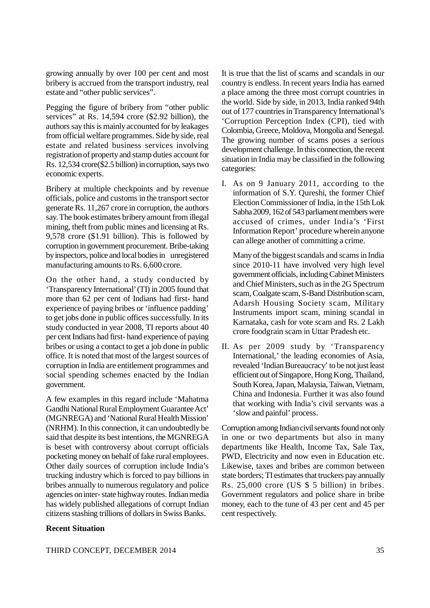growing annually by over 100 per cent and most bribery is accrued from the transport industry, real estate and "other public services".

Pegging the figure of bribery from "other public services" at Rs. 14,594 crore (\$2.92 billion), the authors say this is mainly accounted for by leakages from official welfare programmes. Side by side, real estate and related business services involving registration of property and stamp duties account for Rs. 12,534 crore(\$2.5 billion) in corruption, says two economic experts.

Bribery at multiple checkpoints and by revenue officials, police and customs in the transport sector generate Rs. 11,267 crore in corruption, the authors say. The book estimates bribery amount from illegal mining, theft from public mines and licensing at Rs. 9,578 crore (\$1.91 billion). This is followed by corruption in government procurement. Bribe-taking by inspectors, police and local bodies in unregistered manufacturing amounts to Rs. 6,600 crore.

On the other hand, a study conducted by 'Transparency International' (TI) in 2005 found that more than 62 per cent of Indians had first- hand experience of paying bribes or 'influence padding' to get jobs done in public offices successfully. In its study conducted in year 2008, TI reports about 40 per cent Indians had first- hand experience of paying bribes or using a contact to get a job done in public office. It is noted that most of the largest sources of corruption in India are entitlement programmes and social spending schemes enacted by the Indian government.

A few examples in this regard include 'Mahatma Gandhi National Rural Employment Guarantee Act' (MGNREGA) and 'National Rural Health Mission' (NRHM). In this connection, it can undoubtedly be said that despite its best intentions, the MGNREGA is beset with controversy about corrupt officials pocketing money on behalf of fake rural employees. Other daily sources of corruption include India's trucking industry which is forced to pay billions in bribes annually to numerous regulatory and police agencies on inter- state highway routes. Indian media has widely published allegations of corrupt Indian citizens stashing trillions of dollars in Swiss Banks.

#### **Recent Situation**

It is true that the list of scams and scandals in our country is endless. In recent years India has earned a place among the three most corrupt countries in the world. Side by side, in 2013, India ranked 94th out of 177 countries in Transparency International's 'Corruption Perception Index (CPI), tied with Colombia, Greece, Moldova, Mongolia and Senegal. The growing number of scams poses a serious development challenge. In this connection, the recent situation in India may be classified in the following categories:

I. As on 9 January 2011, according to the information of S.Y. Qureshi, the former Chief Election Commissioner of India, in the 15th Lok Sabha 2009, 162 of 543 parliament members were accused of crimes, under India's 'First Information Report' procedure wherein anyone can allege another of committing a crime.

Many of the biggest scandals and scams in India since 2010-11 have involved very high level government officials, including Cabinet Ministers and Chief Ministers, such as in the 2G Spectrum scam, Coalgate scam, S-Band Distribution scam, Adarsh Housing Society scam, Military Instruments import scam, mining scandal in Karnataka, cash for vote scam and Rs. 2 Lakh crore foodgrain scam in Uttar Pradesh etc.

II. As per 2009 study by 'Transparency International,' the leading economies of Asia, revealed 'Indian Bureaucracy' to be not just least efficient out of Singapore, Hong Kong, Thailand, South Korea, Japan, Malaysia, Taiwan, Vietnam, China and Indonesia. Further it was also found that working with India's civil servants was a 'slow and painful' process.

Corruption among Indian civil servants found not only in one or two departments but also in many departments like Health, Income Tax, Sale Tax, PWD, Electricity and now even in Education etc. Likewise, taxes and bribes are common between state borders; TI estimates that truckers pay annually Rs. 25,000 crore (US \$ 5 billion) in bribes. Government regulators and police share in bribe money, each to the tune of 43 per cent and 45 per cent respectively.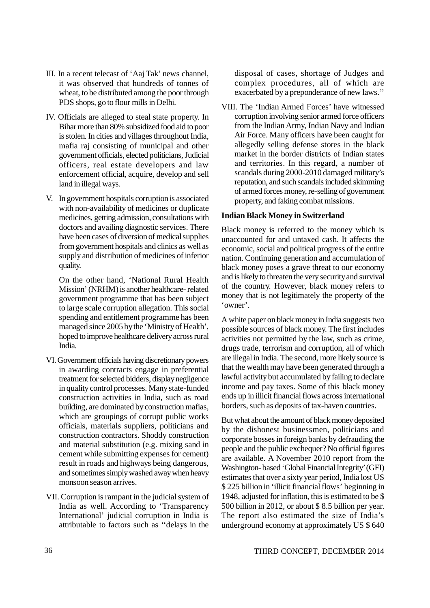- III. In a recent telecast of 'Aaj Tak' news channel, it was observed that hundreds of tonnes of wheat, to be distributed among the poor through PDS shops, go to flour mills in Delhi.
- IV. Officials are alleged to steal state property. In Bihar more than 80% subsidized food aid to poor is stolen. In cities and villages throughout India, mafia raj consisting of municipal and other government officials, elected politicians, Judicial officers, real estate developers and law enforcement official, acquire, develop and sell land in illegal ways.
- V. In government hospitals corruption is associated with non-availability of medicines or duplicate medicines, getting admission, consultations with doctors and availing diagnostic services. There have been cases of diversion of medical supplies from government hospitals and clinics as well as supply and distribution of medicines of inferior quality.

On the other hand, 'National Rural Health Mission' (NRHM) is another healthcare- related government programme that has been subject to large scale corruption allegation. This social spending and entitlement programme has been managed since 2005 by the 'Ministry of Health', hoped to improve healthcare delivery across rural India.

- VI. Government officials having discretionary powers in awarding contracts engage in preferential treatment for selected bidders, display negligence in quality control processes. Many state-funded construction activities in India, such as road building, are dominated by construction mafias, which are groupings of corrupt public works officials, materials suppliers, politicians and construction contractors. Shoddy construction and material substitution (e.g. mixing sand in cement while submitting expenses for cement) result in roads and highways being dangerous, and sometimes simply washed away when heavy monsoon season arrives.
- VII. Corruption is rampant in the judicial system of India as well. According to 'Transparency International' judicial corruption in India is attributable to factors such as ''delays in the

disposal of cases, shortage of Judges and complex procedures, all of which are exacerbated by a preponderance of new laws.''

VIII. The 'Indian Armed Forces' have witnessed corruption involving senior armed force officers from the Indian Army, Indian Navy and Indian Air Force. Many officers have been caught for allegedly selling defense stores in the black market in the border districts of Indian states and territories. In this regard, a number of scandals during 2000-2010 damaged military's reputation, and such scandals included skimming of armed forces money, re-selling of government property, and faking combat missions.

## **Indian Black Money in Switzerland**

Black money is referred to the money which is unaccounted for and untaxed cash. It affects the economic, social and political progress of the entire nation. Continuing generation and accumulation of black money poses a grave threat to our economy and is likely to threaten the very security and survival of the country. However, black money refers to money that is not legitimately the property of the 'owner'.

A white paper on black money in India suggests two possible sources of black money. The first includes activities not permitted by the law, such as crime, drugs trade, terrorism and corruption, all of which are illegal in India. The second, more likely source is that the wealth may have been generated through a lawful activity but accumulated by failing to declare income and pay taxes. Some of this black money ends up in illicit financial flows across international borders, such as deposits of tax-haven countries.

But what about the amount of black money deposited by the dishonest businessmen, politicians and corporate bosses in foreign banks by defrauding the people and the public exchequer? No official figures are available. A November 2010 report from the Washington- based 'Global Financial Integrity' (GFI) estimates that over a sixty year period, India lost US \$ 225 billion in 'illicit financial flows' beginning in 1948, adjusted for inflation, this is estimated to be \$ 500 billion in 2012, or about \$ 8.5 billion per year. The report also estimated the size of India's underground economy at approximately US \$ 640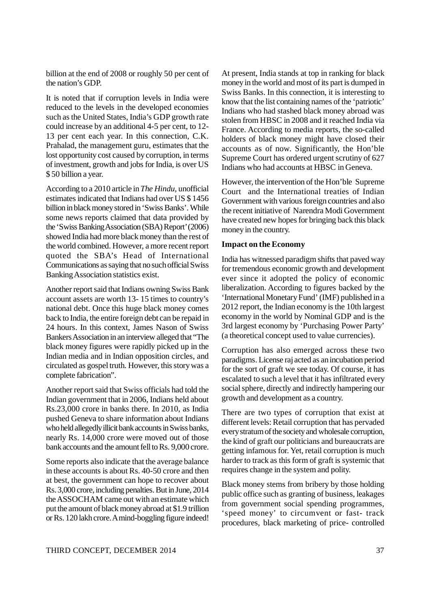billion at the end of 2008 or roughly 50 per cent of the nation's GDP.

It is noted that if corruption levels in India were reduced to the levels in the developed economies such as the United States, India's GDP growth rate could increase by an additional 4-5 per cent, to 12- 13 per cent each year. In this connection, C.K. Prahalad, the management guru, estimates that the lost opportunity cost caused by corruption, in terms of investment, growth and jobs for India, is over US \$ 50 billion a year.

According to a 2010 article in *The Hindu*, unofficial estimates indicated that Indians had over US \$ 1456 billion in black money stored in 'Swiss Banks'. While some news reports claimed that data provided by the 'Swiss Banking Association (SBA) Report' (2006) showed India had more black money than the rest of the world combined. However, a more recent report quoted the SBA's Head of International Communications as saying that no such official Swiss Banking Association statistics exist.

Another report said that Indians owning Swiss Bank account assets are worth 13- 15 times to country's national debt. Once this huge black money comes back to India, the entire foreign debt can be repaid in 24 hours. In this context, James Nason of Swiss Bankers Association in an interview alleged that "The black money figures were rapidly picked up in the Indian media and in Indian opposition circles, and circulated as gospel truth. However, this story was a complete fabrication".

Another report said that Swiss officials had told the Indian government that in 2006, Indians held about Rs.23,000 crore in banks there. In 2010, as India pushed Geneva to share information about Indians who held allegedly illicit bank accounts in Swiss banks, nearly Rs. 14,000 crore were moved out of those bank accounts and the amount fell to Rs. 9,000 crore.

Some reports also indicate that the average balance in these accounts is about Rs. 40-50 crore and then at best, the government can hope to recover about Rs. 3,000 crore, including penalties. But in June, 2014 the ASSOCHAM came out with an estimate which put the amount of black money abroad at \$1.9 trillion or Rs. 120 lakh crore. A mind-boggling figure indeed!

At present, India stands at top in ranking for black money in the world and most of its part is dumped in Swiss Banks. In this connection, it is interesting to know that the list containing names of the 'patriotic' Indians who had stashed black money abroad was stolen from HBSC in 2008 and it reached India via France. According to media reports, the so-called holders of black money might have closed their accounts as of now. Significantly, the Hon'ble Supreme Court has ordered urgent scrutiny of 627 Indians who had accounts at HBSC in Geneva.

However, the intervention of the Hon'ble Supreme Court and the International treaties of Indian Government with various foreign countries and also the recent initiative of Narendra Modi Government have created new hopes for bringing back this black money in the country.

#### **Impact on the Economy**

India has witnessed paradigm shifts that paved way for tremendous economic growth and development ever since it adopted the policy of economic liberalization. According to figures backed by the 'International Monetary Fund' (IMF) published in a 2012 report, the Indian economy is the 10th largest economy in the world by Nominal GDP and is the 3rd largest economy by 'Purchasing Power Party' (a theoretical concept used to value currencies).

Corruption has also emerged across these two paradigms. License raj acted as an incubation period for the sort of graft we see today. Of course, it has escalated to such a level that it has infiltrated every social sphere, directly and indirectly hampering our growth and development as a country.

There are two types of corruption that exist at different levels: Retail corruption that has pervaded every stratum of the society and wholesale corruption, the kind of graft our politicians and bureaucrats are getting infamous for. Yet, retail corruption is much harder to track as this form of graft is systemic that requires change in the system and polity.

Black money stems from bribery by those holding public office such as granting of business, leakages from government social spending programmes, 'speed money' to circumvent or fast- track procedures, black marketing of price- controlled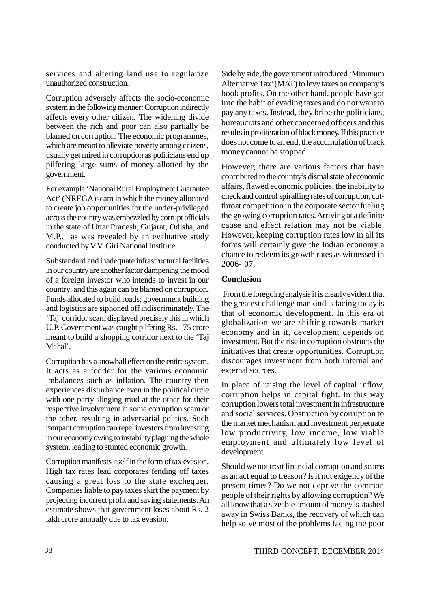services and altering land use to regularize unauthorized construction.

Corruption adversely affects the socio-economic system in the following manner: Corruption indirectly affects every other citizen. The widening divide between the rich and poor can also partially be blamed on corruption. The economic programmes, which are meant to alleviate poverty among citizens, usually get mired in corruption as politicians end up pilfering large sums of money allotted by the government.

For example 'National Rural Employment Guarantee Act' (NREGA)scam in which the money allocated to create job opportunities for the under-privileged across the country was embezzled by corrupt officials in the state of Uttar Pradesh, Gujarat, Odisha, and M.P., as was revealed by an evaluative study conducted by V.V. Giri National Institute.

Substandard and inadequate infrastructural facilities in our country are another factor dampening the mood of a foreign investor who intends to invest in our country; and this again can be blamed on corruption. Funds allocated to build roads; government building and logistics are siphoned off indiscriminately. The 'Taj' corridor scam displayed precisely this in which U.P. Government was caught pilfering Rs. 175 crore meant to build a shopping corridor next to the 'Taj Mahal'.

Corruption has a snowball effect on the entire system. It acts as a fodder for the various economic imbalances such as inflation. The country then experiences disturbance even in the political circle with one party slinging mud at the other for their respective involvement in some corruption scam or the other, resulting in adversarial politics. Such rampant corruption can repel investors from investing in our economy owing to instability plaguing the whole system, leading to stunted economic growth.

Corruption manifests itself in the form of tax evasion. High tax rates lead corporates fending off taxes causing a great loss to the state exchequer. Companies liable to pay taxes skirt the payment by projecting incorrect profit and saving statements. An estimate shows that government loses about Rs. 2 lakh crore annually due to tax evasion.

Side by side, the government introduced 'Minimum Alternative Tax' (MAT) to levy taxes on company's book profits. On the other hand, people have got into the habit of evading taxes and do not want to pay any taxes. Instead, they bribe the politicians, bureaucrats and other concerned officers and this results in proliferation of black money. If this practice does not come to an end, the accumulation of black money cannot be stopped.

However, there are various factors that have contributed to the country's dismal state of economic affairs, flawed economic policies, the inability to check and control spiralling rates of corruption, cutthroat competition in the corporate sector fueling the growing corruption rates. Arriving at a definite cause and effect relation may not be viable. However, keeping corruption rates low in all its forms will certainly give the Indian economy a chance to redeem its growth rates as witnessed in 2006- 07.

#### **Conclusion**

 From the foregoing analysis it is clearly evident that the greatest challenge mankind is facing today is that of economic development. In this era of globalization we are shifting towards market economy and in it, development depends on investment. But the rise in corruption obstructs the initiatives that create opportunities. Corruption discourages investment from both internal and external sources.

In place of raising the level of capital inflow, corruption helps in capital fight. In this way corruption lowers total investment in infrastructure and social services. Obstruction by corruption to the market mechanism and investment perpetuate low productivity, low income, low viable employment and ultimately low level of development.

Should we not treat financial corruption and scams as an act equal to treason? Is it not exigency of the present times? Do we not deprive the common people of their rights by allowing corruption? We all know that a sizeable amount of money is stashed away in Swiss Banks, the recovery of which can help solve most of the problems facing the poor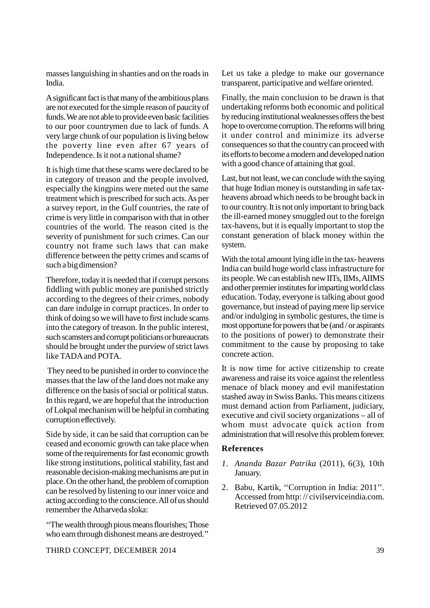masses languishing in shanties and on the roads in India.

A significant fact is that many of the ambitious plans are not executed for the simple reason of paucity of funds. We are not able to provide even basic facilities to our poor countrymen due to lack of funds. A very large chunk of our population is living below the poverty line even after 67 years of Independence. Is it not a national shame?

It is high time that these scams were declared to be in category of treason and the people involved, especially the kingpins were meted out the same treatment which is prescribed for such acts. As per a survey report, in the Gulf countries, the rate of crime is very little in comparison with that in other countries of the world. The reason cited is the severity of punishment for such crimes. Can our country not frame such laws that can make difference between the petty crimes and scams of such a big dimension?

Therefore, today it is needed that if corrupt persons fiddling with public money are punished strictly according to the degrees of their crimes, nobody can dare indulge in corrupt practices. In order to think of doing so we will have to first include scams into the category of treason. In the public interest, such scamsters and corrupt politicians or bureaucrats should be brought under the purview of strict laws like TADA and POTA.

 They need to be punished in order to convince the masses that the law of the land does not make any difference on the basis of social or political status. In this regard, we are hopeful that the introduction of Lokpal mechanism will be helpful in combating corruption effectively.

Side by side, it can be said that corruption can be ceased and economic growth can take place when some of the requirements for fast economic growth like strong institutions, political stability, fast and reasonable decision-making mechanisms are put in place. On the other hand, the problem of corruption can be resolved by listening to our inner voice and acting according to the conscience. All of us should remember the Atharveda sloka:

''The wealth through pious means flourishes; Those who earn through dishonest means are destroyed.''

THIRD CONCEPT, DECEMBER 2014 39

Let us take a pledge to make our governance transparent, participative and welfare oriented.

Finally, the main conclusion to be drawn is that undertaking reforms both economic and political by reducing institutional weaknesses offers the best hope to overcome corruption. The reforms will bring it under control and minimize its adverse consequences so that the country can proceed with its efforts to become a modern and developed nation with a good chance of attaining that goal.

Last, but not least, we can conclude with the saying that huge Indian money is outstanding in safe taxheavens abroad which needs to be brought back in to our country. It is not only important to bring back the ill-earned money smuggled out to the foreign tax-havens, but it is equally important to stop the constant generation of black money within the system.

With the total amount lying idle in the tax- heavens India can build huge world class infrastructure for its people. We can establish new IITs, IIMs, AIIMS and other premier institutes for imparting world class education. Today, everyone is talking about good governance, but instead of paying mere lip service and/or indulging in symbolic gestures, the time is most opportune for powers that be (and / or aspirants to the positions of power) to demonstrate their commitment to the cause by proposing to take concrete action.

It is now time for active citizenship to create awareness and raise its voice against the relentless menace of black money and evil manifestation stashed away in Swiss Banks. This means citizens must demand action from Parliament, judiciary, executive and civil society organizations – all of whom must advocate quick action from administration that will resolve this problem forever.

#### **References**

- *1. Ananda Bazar Patrika* (2011), 6(3), 10th January.
- 2. Babu, Kartik, ''Corruption in India: 2011''. Accessed from http: // civilserviceindia.com. Retrieved 07.05.2012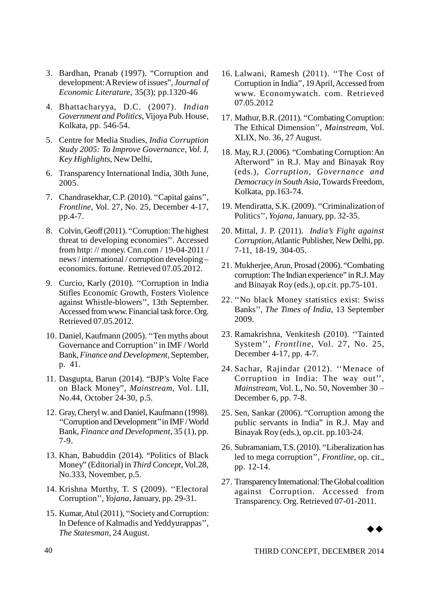- 3. Bardhan, Pranab (1997). "Corruption and development: A Review of issues", *Journal of Economic Literature*, 35(3); pp.1320-46
- 4. Bhattacharyya, D.C. (2007). *Indian Government and Politics*, Vijoya Pub. House, Kolkata, pp. 546-54.
- 5. Centre for Media Studies, *India Corruption Study 2005: To Improve Governance, Vol. I, Key Highlights*, New Delhi,
- 6. Transparency International India, 30th June, 2005.
- 7. Chandrasekhar, C.P. (2010). ''Capital gains'', *Frontline*, Vol. 27, No. 25, December 4-17, pp.4-7.
- 8. Colvin, Geoff (2011). ''Corruption: The highest threat to developing economies''. Accessed from http: // money. Cnn.com / 19-04-2011 / news / international / corruption developing – economics. fortune. Retrieved 07.05.2012.
- 9. Curcio, Karly (2010). ''Corruption in India Stifles Economic Growth, Fosters Violence against Whistle-blowers'', 13th September. Accessed from www. Financial task force. Org. Retrieved 07.05.2012.
- 10. Daniel, Kaufmann (2005). ''Ten myths about Governance and Corruption'' in IMF / World Bank, *Finance and Development*, September, p. 41.
- 11. Dasgupta, Barun (2014). "BJP's Volte Face on Black Money", *Mainstream*, Vol. LII, No.44, October 24-30, p.5.
- 12. Gray, Cheryl w. and Daniel, Kaufmann (1998). ''Corruption and Development'' in IMF / World Bank, *Finance and Development*, 35 (1), pp. 7-9.
- 13. Khan, Babuddin (2014). "Politics of Black Money" (Editorial) in *Third Concept*, Vol.28, No.333, November, p.5.
- 14. Krishna Murthy, T. S (2009). ''Electoral Corruption'', *Yojana*, January, pp. 29-31.
- 15. Kumar, Atul (2011), ''Society and Corruption: In Defence of Kalmadis and Yeddyurappas'', *The Statesman*, 24 August.
- 16. Lalwani, Ramesh (2011). ''The Cost of Corruption in India'', 19 April, Accessed from www. Economywatch. com. Retrieved 07.05.2012
- 17. Mathur, B.R. (2011). ''Combating Corruption: The Ethical Dimension'', *Mainstream*, Vol. XLIX, No. 36, 27 August.
- 18. May, R.J. (2006). "Combating Corruption: An Afterword" in R.J. May and Binayak Roy (eds.), *Corruption, Governance and Democracy in South Asia*, Towards Freedom, Kolkata, pp.163-74.
- 19. Mendiratta, S.K. (2009). ''Criminalization of Politics'', *Yojana*, January, pp. 32-35.
- 20. Mittal, J. P. (2011). *India's Fight against Corruption*, Atlantic Publisher, New Delhi, pp. 7-11, 18-19, 304-05.
- 21. Mukherjee, Arun, Prosad (2006). "Combating corruption: The Indian experience" in R.J. May and Binayak Roy (eds.), op.cit. pp.75-101.
- 22. ''No black Money statistics exist: Swiss Banks'', *The Times of India*, 13 September 2009.
- 23. Ramakrishna, Venkitesh (2010). ''Tainted System'', *Frontline*, Vol. 27, No. 25, December 4-17, pp. 4-7.
- 24. Sachar, Rajindar (2012). ''Menace of Corruption in India: The way out'', *Mainstream*, Vol. L, No. 50, November 30 – December 6, pp. 7-8.
- 25. Sen, Sankar (2006). "Corruption among the public servants in India" in R.J. May and Binayak Roy (eds.), op.cit. pp.103-24.
- 26. Subramaniam, T.S. (2010). ''Liberalization has led to mega corruption'', *Frontline*, op. cit., pp. 12-14.
- 27. Transparency International: The Global coalition against Corruption. Accessed from Transparency. Org. Retrieved 07-01-2011.



40 THIRD CONCEPT, DECEMBER 2014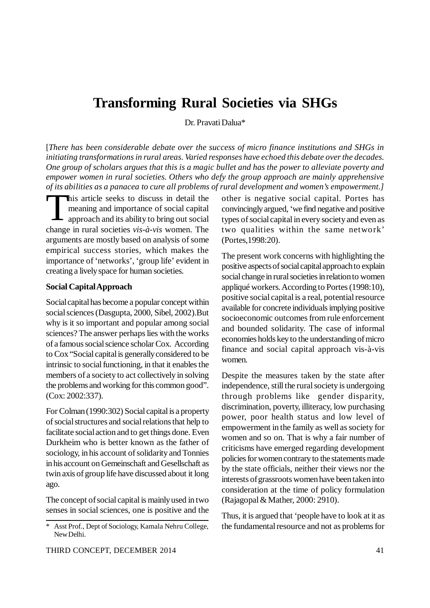## **Transforming Rural Societies via SHGs**

Dr. Pravati Dalua\*

[*There has been considerable debate over the success of micro finance institutions and SHGs in initiating transformations in rural areas. Varied responses have echoed this debate over the decades. One group of scholars argues that this is a magic bullet and has the power to alleviate poverty and empower women in rural societies. Others who defy the group approach are mainly apprehensive of its abilities as a panacea to cure all problems of rural development and women's empowerment.]*

This article seeks to discuss in detail the<br>meaning and importance of social capital<br>approach and its ability to bring out social<br>change in rural societies *vis-à-vis* women. The his article seeks to discuss in detail the meaning and importance of social capital approach and its ability to bring out social arguments are mostly based on analysis of some empirical success stories, which makes the importance of 'networks', 'group life' evident in creating a lively space for human societies.

### **Social Capital Approach**

Social capital has become a popular concept within social sciences (Dasgupta, 2000, Sibel, 2002).But why is it so important and popular among social sciences? The answer perhaps lies with the works of a famous social science scholar Cox. According to Cox "Social capital is generally considered to be intrinsic to social functioning, in that it enables the members of a society to act collectively in solving the problems and working for this common good". (Cox: 2002:337).

For Colman (1990:302) Social capital is a property of social structures and social relations that help to facilitate social action and to get things done. Even Durkheim who is better known as the father of sociology, in his account of solidarity and Tonnies in his account on Gemeinschaft and Gesellschaft as twin axis of group life have discussed about it long ago.

The concept of social capital is mainly used in two senses in social sciences, one is positive and the

other is negative social capital. Portes has convincingly argued, 'we find negative and positive types of social capital in every society and even as two qualities within the same network' (Portes,1998:20).

The present work concerns with highlighting the positive aspects of social capital approach to explain social change in rural societies in relation to women appliqué workers. According to Portes (1998:10), positive social capital is a real, potential resource available for concrete individuals implying positive socioeconomic outcomes from rule enforcement and bounded solidarity. The case of informal economies holds key to the understanding of micro finance and social capital approach vis-à-vis women.

Despite the measures taken by the state after independence, still the rural society is undergoing through problems like gender disparity, discrimination, poverty, illiteracy, low purchasing power, poor health status and low level of empowerment in the family as well as society for women and so on. That is why a fair number of criticisms have emerged regarding development policies for women contrary to the statements made by the state officials, neither their views nor the interests of grassroots women have been taken into consideration at the time of policy formulation (Rajagopal & Mather, 2000: 2910).

Thus, it is argued that 'people have to look at it as the fundamental resource and not as problems for

<sup>\*</sup> Asst Prof., Dept of Sociology, Kamala Nehru College, New Delhi.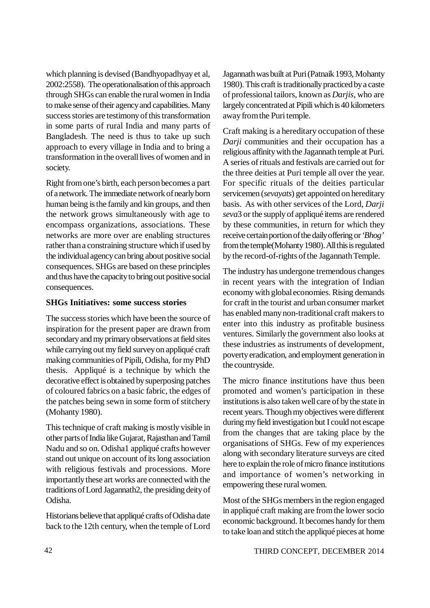which planning is devised (Bandhyopadhyay et al, 2002:2558). The operationalisation of this approach through SHGs can enable the rural women in India to make sense of their agency and capabilities. Many success stories are testimony of this transformation in some parts of rural India and many parts of Bangladesh. The need is thus to take up such approach to every village in India and to bring a transformation in the overall lives of women and in society.

Right from one's birth, each person becomes a part of a network. The immediate network of nearly born human being is the family and kin groups, and then the network grows simultaneously with age to encompass organizations, associations. These networks are more over are enabling structures rather than a constraining structure which if used by the individual agency can bring about positive social consequences. SHGs are based on these principles and thus have the capacity to bring out positive social consequences.

## **SHGs Initiatives: some success stories**

The success stories which have been the source of inspiration for the present paper are drawn from secondary and my primary observations at field sites while carrying out my field survey on appliqué craft making communities of Pipili, Odisha, for my PhD thesis. Appliqué is a technique by which the decorative effect is obtained by superposing patches of coloured fabrics on a basic fabric, the edges of the patches being sewn in some form of stitchery (Mohanty 1980).

This technique of craft making is mostly visible in other parts of India like Gujarat, Rajasthan and Tamil Nadu and so on. Odisha1 appliqué crafts however stand out unique on account of its long association with religious festivals and processions. More importantly these art works are connected with the traditions of Lord Jagannath2, the presiding deity of Odisha.

Historians believe that appliqué crafts of Odisha date back to the 12th century, when the temple of Lord

Jagannath was built at Puri (Patnaik 1993, Mohanty 1980). This craft is traditionally practiced by a caste of professional tailors, known as *Darjis*, who are largely concentrated at Pipili which is 40 kilometers away from the Puri temple.

Craft making is a hereditary occupation of these *Darji* communities and their occupation has a religious affinity with the Jagannath temple at Puri. A series of rituals and festivals are carried out for the three deities at Puri temple all over the year. For specific rituals of the deities particular servicemen (*sevayats*) get appointed on hereditary basis. As with other services of the Lord, *Darji seva*3 or the supply of appliqué items are rendered by these communities, in return for which they receive certain portion of the daily offering or '*Bhog'* from the temple(Mohanty 1980). All this is regulated by the record-of-rights of the Jagannath Temple.

The industry has undergone tremendous changes in recent years with the integration of Indian economy with global economies. Rising demands for craft in the tourist and urban consumer market has enabled many non-traditional craft makers to enter into this industry as profitable business ventures. Similarly the government also looks at these industries as instruments of development, poverty eradication, and employment generation in the countryside.

The micro finance institutions have thus been promoted and women's participation in these institutions is also taken well care of by the state in recent years. Though my objectives were different during my field investigation but I could not escape from the changes that are taking place by the organisations of SHGs. Few of my experiences along with secondary literature surveys are cited here to explain the role of micro finance institutions and importance of women's networking in empowering these rural women.

Most of the SHGs members in the region engaged in appliqué craft making are from the lower socio economic background. It becomes handy for them to take loan and stitch the appliqué pieces at home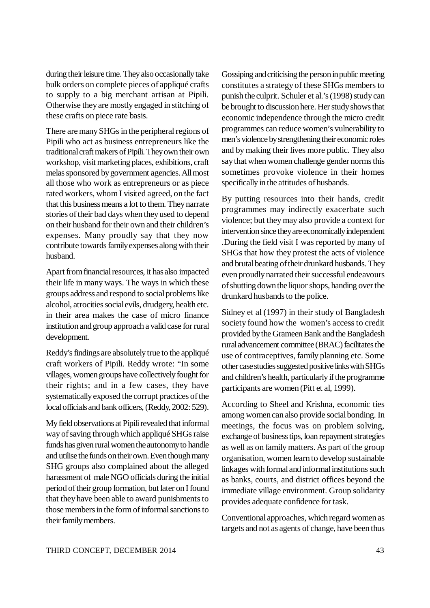during their leisure time. They also occasionally take bulk orders on complete pieces of appliqué crafts to supply to a big merchant artisan at Pipili. Otherwise they are mostly engaged in stitching of these crafts on piece rate basis.

There are many SHGs in the peripheral regions of Pipili who act as business entrepreneurs like the traditional craft makers of Pipili. They own their own workshop, visit marketing places, exhibitions, craft melas sponsored by government agencies. All most all those who work as entrepreneurs or as piece rated workers, whom I visited agreed, on the fact that this business means a lot to them. They narrate stories of their bad days when they used to depend on their husband for their own and their children's expenses. Many proudly say that they now contribute towards family expenses along with their husband.

Apart from financial resources, it has also impacted their life in many ways. The ways in which these groups address and respond to social problems like alcohol, atrocities social evils, drudgery, health etc. in their area makes the case of micro finance institution and group approach a valid case for rural development.

Reddy's findings are absolutely true to the appliqué craft workers of Pipili. Reddy wrote: "In some villages, women groups have collectively fought for their rights; and in a few cases, they have systematically exposed the corrupt practices of the local officials and bank officers, (Reddy, 2002: 529).

My field observations at Pipili revealed that informal way of saving through which appliqué SHGs raise funds has given rural women the autonomy to handle and utilise the funds on their own. Even though many SHG groups also complained about the alleged harassment of male NGO officials during the initial period of their group formation, but later on I found that they have been able to award punishments to those members in the form of informal sanctions to their family members.

Gossiping and criticising the person in public meeting constitutes a strategy of these SHGs members to punish the culprit. Schuler et al.'s (1998) study can be brought to discussion here. Her study shows that economic independence through the micro credit programmes can reduce women's vulnerability to men's violence by strengthening their economic roles and by making their lives more public. They also say that when women challenge gender norms this sometimes provoke violence in their homes specifically in the attitudes of husbands.

By putting resources into their hands, credit programmes may indirectly exacerbate such violence; but they may also provide a context for intervention since they are economically independent .During the field visit I was reported by many of SHGs that how they protest the acts of violence and brutal beating of their drunkard husbands. They even proudly narrated their successful endeavours of shutting down the liquor shops, handing over the drunkard husbands to the police.

Sidney et al (1997) in their study of Bangladesh society found how the women's access to credit provided by the Grameen Bank and the Bangladesh rural advancement committee (BRAC) facilitates the use of contraceptives, family planning etc. Some other case studies suggested positive links with SHGs and children's health, particularly if the programme participants are women (Pitt et al, 1999).

According to Sheel and Krishna, economic ties among women can also provide social bonding. In meetings, the focus was on problem solving, exchange of business tips, loan repayment strategies as well as on family matters. As part of the group organisation, women learn to develop sustainable linkages with formal and informal institutions such as banks, courts, and district offices beyond the immediate village environment. Group solidarity provides adequate confidence for task.

Conventional approaches, which regard women as targets and not as agents of change, have been thus

#### THIRD CONCEPT, DECEMBER 2014 43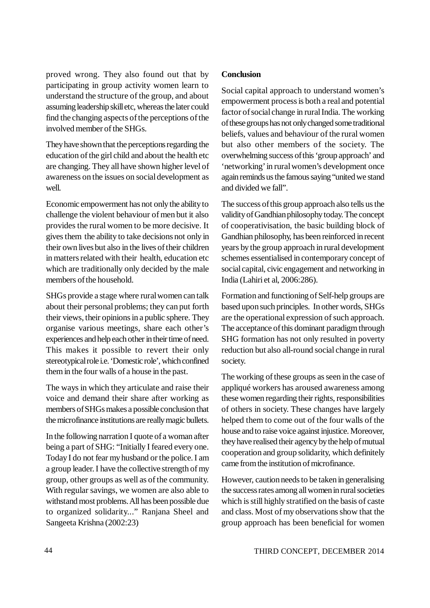proved wrong. They also found out that by participating in group activity women learn to understand the structure of the group, and about assuming leadership skill etc, whereas the later could find the changing aspects of the perceptions of the involved member of the SHGs.

They have shown that the perceptions regarding the education of the girl child and about the health etc are changing. They all have shown higher level of awareness on the issues on social development as well.

Economic empowerment has not only the ability to challenge the violent behaviour of men but it also provides the rural women to be more decisive. It gives them the ability to take decisions not only in their own lives but also in the lives of their children in matters related with their health, education etc which are traditionally only decided by the male members of the household.

SHGs provide a stage where rural women can talk about their personal problems; they can put forth their views, their opinions in a public sphere. They organise various meetings, share each other's experiences and help each other in their time of need. This makes it possible to revert their only stereotypical role i.e. 'Domestic role', which confined them in the four walls of a house in the past.

The ways in which they articulate and raise their voice and demand their share after working as members of SHGs makes a possible conclusion that the microfinance institutions are really magic bullets.

In the following narration I quote of a woman after being a part of SHG: "Initially I feared every one. Today I do not fear my husband or the police. I am a group leader. I have the collective strength of my group, other groups as well as of the community. With regular savings, we women are also able to withstand most problems. All has been possible due to organized solidarity..." Ranjana Sheel and Sangeeta Krishna (2002:23)

## **Conclusion**

Social capital approach to understand women's empowerment process is both a real and potential factor of social change in rural India. The working of these groups has not only changed some traditional beliefs, values and behaviour of the rural women but also other members of the society. The overwhelming success of this 'group approach' and 'networking' in rural women's development once again reminds us the famous saying "united we stand and divided we fall".

The success of this group approach also tells us the validity of Gandhian philosophy today. The concept of cooperativisation, the basic building block of Gandhian philosophy, has been reinforced in recent years by the group approach in rural development schemes essentialised in contemporary concept of social capital, civic engagement and networking in India (Lahiri et al, 2006:286).

Formation and functioning of Self-help groups are based upon such principles. In other words, SHGs are the operational expression of such approach. The acceptance of this dominant paradigm through SHG formation has not only resulted in poverty reduction but also all-round social change in rural society.

The working of these groups as seen in the case of appliqué workers has aroused awareness among these women regarding their rights, responsibilities of others in society. These changes have largely helped them to come out of the four walls of the house and to raise voice against injustice. Moreover, they have realised their agency by the help of mutual cooperation and group solidarity, which definitely came from the institution of microfinance.

However, caution needs to be taken in generalising the success rates among all women in rural societies which is still highly stratified on the basis of caste and class. Most of my observations show that the group approach has been beneficial for women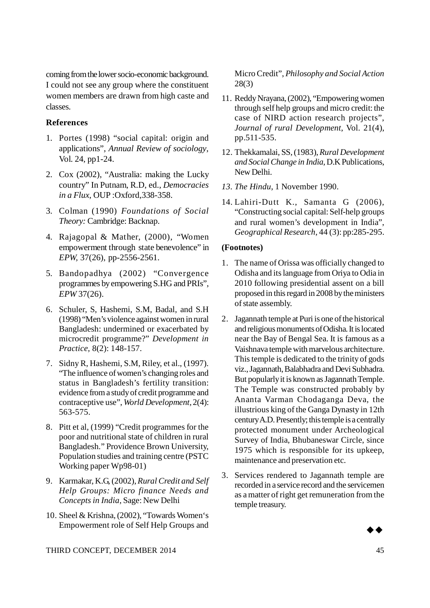coming from the lower socio-economic background. I could not see any group where the constituent women members are drawn from high caste and classes.

## **References**

- 1. Portes (1998) "social capital: origin and applications", *Annual Review of sociology*, Vol. 24, pp1-24.
- 2. Cox (2002), "Australia: making the Lucky country" In Putnam, R.D, ed., *Democracies in a Flux*, OUP :Oxford,338-358.
- 3. Colman (1990) *Foundations of Social Theory:* Cambridge: Backnap.
- 4. Rajagopal & Mather, (2000), "Women empowerment through state benevolence" in *EPW,* 37(26), pp-2556-2561.
- 5. Bandopadhya (2002) "Convergence programmes by empowering S.HG and PRIs", *EPW* 37(26).
- 6. Schuler, S, Hashemi, S.M, Badal, and S.H (1998) "Men's violence against women in rural Bangladesh: undermined or exacerbated by microcredit programme?" *Development in Practice,* 8(2): 148-157.
- 7. Sidny R, Hashemi, S.M, Riley, et al., (1997). "The influence of women's changing roles and status in Bangladesh's fertility transition: evidence from a study of credit programme and contraceptive use", *World Development,* 2(4): 563-575.
- 8. Pitt et al, (1999) "Credit programmes for the poor and nutritional state of children in rural Bangladesh." Providence Brown University, Population studies and training centre (PSTC Working paper Wp98-01)
- 9. Karmakar, K.G, (2002), *Rural Credit and Self Help Groups: Micro finance Needs and Concepts in India*, Sage: New Delhi
- 10. Sheel & Krishna, (2002), "Towards Women's Empowerment role of Self Help Groups and

Micro Credit", *Philosophy and Social Action* 28(3)

- 11. Reddy Nrayana, (2002), "Empowering women through self help groups and micro credit: the case of NIRD action research projects", *Journal of rural Development*, Vol. 21(4), pp.511-535.
- 12. Thekkamalai, SS, (1983), *Rural Development and Social Change in India*, D.K Publications, New Delhi.
- *13. The Hindu*, 1 November 1990.
- 14. Lahiri-Dutt K., Samanta G (2006), "Constructing social capital: Self-help groups and rural women's development in India", *Geographical Research*, 44 (3): pp:285-295.

### **(Footnotes)**

- 1. The name of Orissa was officially changed to Odisha and its language from Oriya to Odia in 2010 following presidential assent on a bill proposed in this regard in 2008 by the ministers of state assembly.
- 2. Jagannath temple at Puri is one of the historical and religious monuments of Odisha. It is located near the Bay of Bengal Sea. It is famous as a Vaishnava temple with marvelous architecture. This temple is dedicated to the trinity of gods viz., Jagannath, Balabhadra and Devi Subhadra. But popularly it is known as Jagannath Temple. The Temple was constructed probably by Ananta Varman Chodaganga Deva, the illustrious king of the Ganga Dynasty in 12th century A.D. Presently; this temple is a centrally protected monument under Archeological Survey of India, Bhubaneswar Circle, since 1975 which is responsible for its upkeep, maintenance and preservation etc.
- 3. Services rendered to Jagannath temple are recorded in a service record and the servicemen as a matter of right get remuneration from the temple treasury.

 $\rightarrow \rightarrow$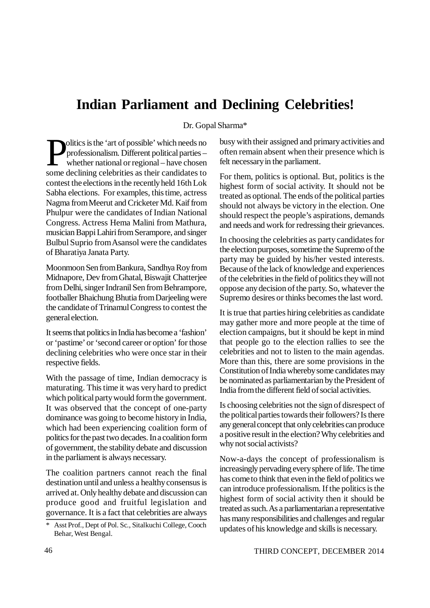## **Indian Parliament and Declining Celebrities!**

Dr. Gopal Sharma\*

**P** possible' which needs no<br>professionalism. Different political parties –<br>whether national or regional – have chosen<br>some declining celebrities as their candidates to olitics is the 'art of possible' which needs no professionalism. Different political parties – whether national or regional – have chosen contest the elections in the recently held 16th Lok Sabha elections. For examples, this time, actress Nagma from Meerut and Cricketer Md. Kaif from Phulpur were the candidates of Indian National Congress. Actress Hema Malini from Mathura, musician Bappi Lahiri from Serampore, and singer Bulbul Suprio from Asansol were the candidates of Bharatiya Janata Party.

Moonmoon Sen from Bankura, Sandhya Roy from Midnapore, Dev from Ghatal, Biswajit Chatterjee from Delhi, singer Indranil Sen from Behrampore, footballer Bhaichung Bhutia from Darjeeling were the candidate of Trinamul Congress to contest the general election.

It seems that politics in India has become a 'fashion' or 'pastime' or 'second career or option' for those declining celebrities who were once star in their respective fields.

With the passage of time, Indian democracy is maturating. This time it was very hard to predict which political party would form the government. It was observed that the concept of one-party dominance was going to become history in India, which had been experiencing coalition form of politics for the past two decades. In a coalition form of government, the stability debate and discussion in the parliament is always necessary.

The coalition partners cannot reach the final destination until and unless a healthy consensus is arrived at. Only healthy debate and discussion can produce good and fruitful legislation and governance. It is a fact that celebrities are always

busy with their assigned and primary activities and often remain absent when their presence which is felt necessary in the parliament.

For them, politics is optional. But, politics is the highest form of social activity. It should not be treated as optional. The ends of the political parties should not always be victory in the election. One should respect the people's aspirations, demands and needs and work for redressing their grievances.

In choosing the celebrities as party candidates for the election purposes, sometime the Supremo of the party may be guided by his/her vested interests. Because of the lack of knowledge and experiences of the celebrities in the field of politics they will not oppose any decision of the party. So, whatever the Supremo desires or thinks becomes the last word.

It is true that parties hiring celebrities as candidate may gather more and more people at the time of election campaigns, but it should be kept in mind that people go to the election rallies to see the celebrities and not to listen to the main agendas. More than this, there are some provisions in the Constitution of India whereby some candidates may be nominated as parliamentarian by the President of India from the different field of social activities.

Is choosing celebrities not the sign of disrespect of the political parties towards their followers? Is there any general concept that only celebrities can produce a positive result in the election? Why celebrities and why not social activists?

Now-a-days the concept of professionalism is increasingly pervading every sphere of life. The time has come to think that even in the field of politics we can introduce professionalism. If the politics is the highest form of social activity then it should be treated as such. As a parliamentarian a representative has many responsibilities and challenges and regular updates of his knowledge and skills is necessary.

Asst Prof., Dept of Pol. Sc., Sitalkuchi College, Cooch Behar, West Bengal.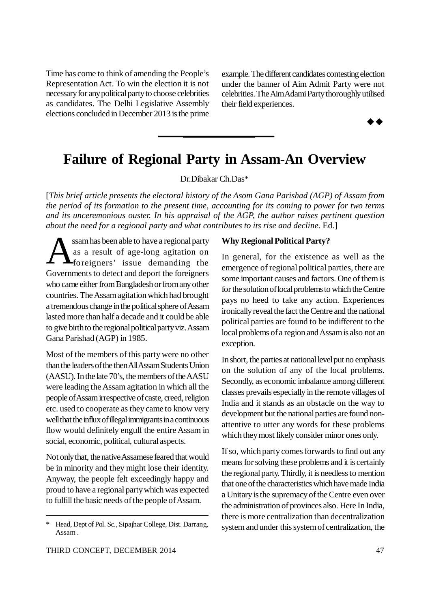Time has come to think of amending the People's Representation Act. To win the election it is not necessary for any political party to choose celebrities as candidates. The Delhi Legislative Assembly elections concluded in December 2013 is the prime

example. The different candidates contesting election under the banner of Aim Admit Party were not celebrities. The Aim Adami Party thoroughly utilised their field experiences.

 $\rightarrow \rightarrow$ 

## **Failure of Regional Party in Assam-An Overview**

Dr.Dibakar Ch.Das\*

[*This brief article presents the electoral history of the Asom Gana Parishad (AGP) of Assam from the period of its formation to the present time, accounting for its coming to power for two terms and its unceremonious ouster. In his appraisal of the AGP, the author raises pertinent question about the need for a regional party and what contributes to its rise and decline.* Ed.]

Sam has been able to have a regional party<br>as a result of age-long agitation on<br>Governments to detect and deport the foreigners ssam has been able to have a regional party as a result of age-long agitation on  $\blacktriangle$ foreigners' issue demanding the who came either from Bangladesh or from any other countries. The Assam agitation which had brought a tremendous change in the political sphere of Assam lasted more than half a decade and it could be able to give birth to the regional political party viz. Assam Gana Parishad (AGP) in 1985.

Most of the members of this party were no other than the leaders of the then All Assam Students Union (AASU). In the late 70's, the members of the AASU were leading the Assam agitation in which all the people of Assam irrespective of caste, creed, religion etc. used to cooperate as they came to know very well that the influx of illegal immigrants in a continuous flow would definitely engulf the entire Assam in social, economic, political, cultural aspects.

Not only that, the native Assamese feared that would be in minority and they might lose their identity. Anyway, the people felt exceedingly happy and proud to have a regional party which was expected to fulfill the basic needs of the people of Assam.

### **Why Regional Political Party?**

In general, for the existence as well as the emergence of regional political parties, there are some important causes and factors. One of them is for the solution of local problems to which the Centre pays no heed to take any action. Experiences ironically reveal the fact the Centre and the national political parties are found to be indifferent to the local problems of a region and Assam is also not an exception.

In short, the parties at national level put no emphasis on the solution of any of the local problems. Secondly, as economic imbalance among different classes prevails especially in the remote villages of India and it stands as an obstacle on the way to development but the national parties are found nonattentive to utter any words for these problems which they most likely consider minor ones only.

If so, which party comes forwards to find out any means for solving these problems and it is certainly the regional party. Thirdly, it is needless to mention that one of the characteristics which have made India a Unitary is the supremacy of the Centre even over the administration of provinces also. Here In India, there is more centralization than decentralization system and under this system of centralization, the

Head, Dept of Pol. Sc., Sipajhar College, Dist. Darrang, Assam .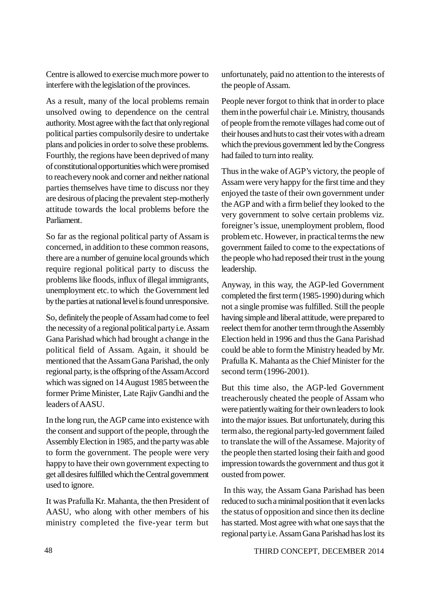Centre is allowed to exercise much more power to interfere with the legislation of the provinces.

As a result, many of the local problems remain unsolved owing to dependence on the central authority. Most agree with the fact that only regional political parties compulsorily desire to undertake plans and policies in order to solve these problems. Fourthly, the regions have been deprived of many of constitutional opportunities which were promised to reach every nook and corner and neither national parties themselves have time to discuss nor they are desirous of placing the prevalent step-motherly attitude towards the local problems before the Parliament.

So far as the regional political party of Assam is concerned, in addition to these common reasons, there are a number of genuine local grounds which require regional political party to discuss the problems like floods, influx of illegal immigrants, unemployment etc. to which the Government led by the parties at national level is found unresponsive.

So, definitely the people of Assam had come to feel the necessity of a regional political party i.e. Assam Gana Parishad which had brought a change in the political field of Assam. Again, it should be mentioned that the Assam Gana Parishad, the only regional party, is the offspring of the Assam Accord which was signed on 14 August 1985 between the former Prime Minister, Late Rajiv Gandhi and the leaders of AASU.

In the long run, the AGP came into existence with the consent and support of the people, through the Assembly Election in 1985, and the party was able to form the government. The people were very happy to have their own government expecting to get all desires fulfilled which the Central government used to ignore.

It was Prafulla Kr. Mahanta, the then President of AASU, who along with other members of his ministry completed the five-year term but

unfortunately, paid no attention to the interests of the people of Assam.

People never forgot to think that in order to place them in the powerful chair i.e. Ministry, thousands of people from the remote villages had come out of their houses and huts to cast their votes with a dream which the previous government led by the Congress had failed to turn into reality.

Thus in the wake of AGP's victory, the people of Assam were very happy for the first time and they enjoyed the taste of their own government under the AGP and with a firm belief they looked to the very government to solve certain problems viz. foreigner's issue, unemployment problem, flood problem etc. However, in practical terms the new government failed to come to the expectations of the people who had reposed their trust in the young leadership.

Anyway, in this way, the AGP-led Government completed the first term (1985-1990) during which not a single promise was fulfilled. Still the people having simple and liberal attitude, were prepared to reelect them for another term through the Assembly Election held in 1996 and thus the Gana Parishad could be able to form the Ministry headed by Mr. Prafulla K. Mahanta as the Chief Minister for the second term (1996-2001).

But this time also, the AGP-led Government treacherously cheated the people of Assam who were patiently waiting for their own leaders to look into the major issues. But unfortunately, during this term also, the regional party-led government failed to translate the will of the Assamese. Majority of the people then started losing their faith and good impression towards the government and thus got it ousted from power.

 In this way, the Assam Gana Parishad has been reduced to such a minimal position that it even lacks the status of opposition and since then its decline has started. Most agree with what one says that the regional party i.e. Assam Gana Parishad has lost its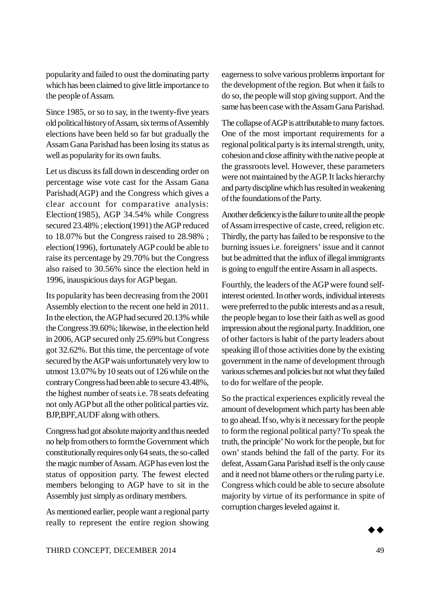popularity and failed to oust the dominating party which has been claimed to give little importance to the people of Assam.

Since 1985, or so to say, in the twenty-five years old political history of Assam, six terms of Assembly elections have been held so far but gradually the Assam Gana Parishad has been losing its status as well as popularity for its own faults.

Let us discuss its fall down in descending order on percentage wise vote cast for the Assam Gana Parishad(AGP) and the Congress which gives a clear account for comparative analysis: Election(1985), AGP 34.54% while Congress secured 23.48% ; election(1991) the AGP reduced to 18.07% but the Congress raised to 28.98% ; election(1996), fortunately AGP could be able to raise its percentage by 29.70% but the Congress also raised to 30.56% since the election held in 1996, inauspicious days for AGP began.

Its popularity has been decreasing from the 2001 Assembly election to the recent one held in 2011. In the election, the AGP had secured 20.13% while the Congress 39.60%; likewise, in the election held in 2006, AGP secured only 25.69% but Congress got 32.62%. But this time, the percentage of vote secured by the AGP wais unfortunately very low to utmost 13.07% by 10 seats out of 126 while on the contrary Congress had been able to secure 43.48%, the highest number of seats i.e. 78 seats defeating not only AGP but all the other political parties viz. BJP,BPF,AUDF along with others.

Congress had got absolute majority and thus needed no help from others to form the Government which constitutionally requires only 64 seats, the so-called the magic number of Assam. AGP has even lost the status of opposition party. The fewest elected members belonging to AGP have to sit in the Assembly just simply as ordinary members.

As mentioned earlier, people want a regional party really to represent the entire region showing

eagerness to solve various problems important for the development of the region. But when it fails to do so, the people will stop giving support. And the same has been case with the Assam Gana Parishad.

The collapse of AGP is attributable to many factors. One of the most important requirements for a regional political party is its internal strength, unity, cohesion and close affinity with the native people at the grassroots level. However, these parameters were not maintained by the AGP. It lacks hierarchy and party discipline which has resulted in weakening of the foundations of the Party.

Another deficiency is the failure to unite all the people of Assam irrespective of caste, creed, religion etc. Thirdly, the party has failed to be responsive to the burning issues i.e. foreigners' issue and it cannot but be admitted that the influx of illegal immigrants is going to engulf the entire Assam in all aspects.

Fourthly, the leaders of the AGP were found selfinterest oriented. In other words, individual interests were preferred to the public interests and as a result, the people began to lose their faith as well as good impression about the regional party. In addition, one of other factors is habit of the party leaders about speaking ill of those activities done by the existing government in the name of development through various schemes and policies but not what they failed to do for welfare of the people.

So the practical experiences explicitly reveal the amount of development which party has been able to go ahead. If so, why is it necessary for the people to form the regional political party? To speak the truth, the principle' No work for the people, but for own' stands behind the fall of the party. For its defeat, Assam Gana Parishad itself is the only cause and it need not blame others or the ruling party i.e. Congress which could be able to secure absolute majority by virtue of its performance in spite of corruption charges leveled against it.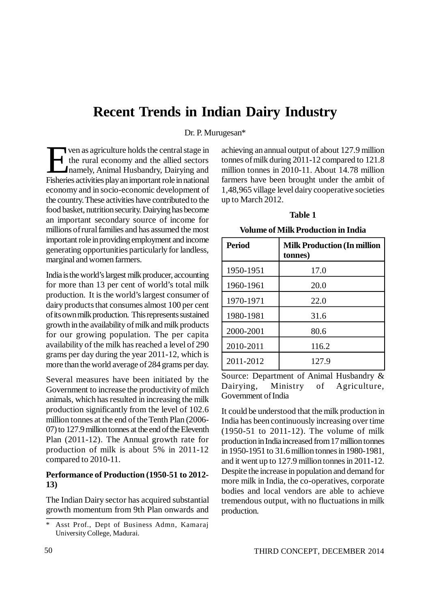## **Recent Trends in Indian Dairy Industry**

Dr. P. Murugesan\*

Ven as agriculture holds the central stage in<br>the rural economy and the allied sectors<br>namely, Animal Husbandry, Dairying and<br>Fisheries activities play an important role in national ven as agriculture holds the central stage in the rural economy and the allied sectors namely, Animal Husbandry, Dairying and economy and in socio-economic development of the country. These activities have contributed to the food basket, nutrition security. Dairying has become an important secondary source of income for millions of rural families and has assumed the most important role in providing employment and income generating opportunities particularly for landless, marginal and women farmers.

India is the world's largest milk producer, accounting for more than 13 per cent of world's total milk production. It is the world's largest consumer of dairy products that consumes almost 100 per cent of its own milk production. This represents sustained growth in the availability of milk and milk products for our growing population. The per capita availability of the milk has reached a level of 290 grams per day during the year 2011-12, which is more than the world average of 284 grams per day.

Several measures have been initiated by the Government to increase the productivity of milch animals, which has resulted in increasing the milk production significantly from the level of 102.6 million tonnes at the end of the Tenth Plan (2006- 07) to 127.9 million tonnes at the end of the Eleventh Plan (2011-12). The Annual growth rate for production of milk is about 5% in 2011-12 compared to 2010-11.

## **Performance of Production (1950-51 to 2012- 13)**

The Indian Dairy sector has acquired substantial growth momentum from 9th Plan onwards and achieving an annual output of about 127.9 million tonnes of milk during 2011-12 compared to 121.8 million tonnes in 2010-11. About 14.78 million farmers have been brought under the ambit of 1,48,965 village level dairy cooperative societies up to March 2012.

## **Table 1**

**Volume of Milk Production in India**

| <b>Period</b> | <b>Milk Production (In million</b><br>tonnes) |
|---------------|-----------------------------------------------|
| 1950-1951     | 17.0                                          |
| 1960-1961     | 20.0                                          |
| 1970-1971     | 22.0                                          |
| 1980-1981     | 31.6                                          |
| 2000-2001     | 80.6                                          |
| 2010-2011     | 116.2                                         |
| 2011-2012     | 127.9                                         |

Source: Department of Animal Husbandry & Dairying, Ministry of Agriculture, Government of India

It could be understood that the milk production in India has been continuously increasing over time (1950-51 to 2011-12). The volume of milk production in India increased from 17 million tonnes in 1950-1951 to 31.6 million tonnes in 1980-1981, and it went up to 127.9 million tonnes in 2011-12. Despite the increase in population and demand for more milk in India, the co-operatives, corporate bodies and local vendors are able to achieve tremendous output, with no fluctuations in milk production.

Asst Prof., Dept of Business Admn, Kamaraj University College, Madurai.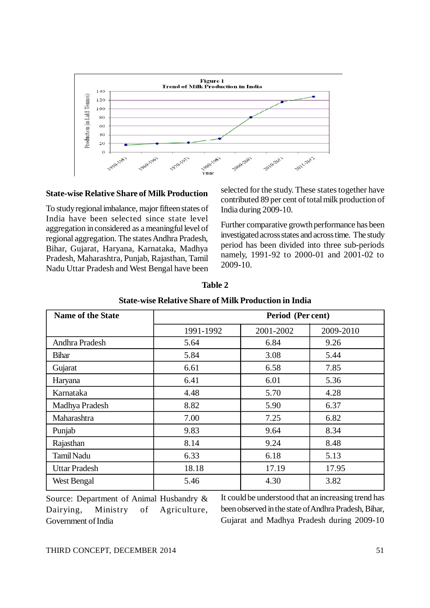

### **State-wise Relative Share of Milk Production**

To study regional imbalance, major fifteen states of India have been selected since state level aggregation in considered as a meaningful level of regional aggregation. The states Andhra Pradesh, Bihar, Gujarat, Haryana, Karnataka, Madhya Pradesh, Maharashtra, Punjab, Rajasthan, Tamil Nadu Uttar Pradesh and West Bengal have been selected for the study. These states together have contributed 89 per cent of total milk production of India during 2009-10.

Further comparative growth performance has been investigated across states and across time. The study period has been divided into three sub-periods namely, 1991-92 to 2000-01 and 2001-02 to 2009-10.

| <b>Name of the State</b> | Period (Per cent) |           |           |
|--------------------------|-------------------|-----------|-----------|
|                          | 1991-1992         | 2001-2002 | 2009-2010 |
| Andhra Pradesh           | 5.64              | 6.84      | 9.26      |
| <b>Bihar</b>             | 5.84              | 3.08      | 5.44      |
| Gujarat                  | 6.61              | 6.58      | 7.85      |
| Haryana                  | 6.41              | 6.01      | 5.36      |
| Karnataka                | 4.48              | 5.70      | 4.28      |
| Madhya Pradesh           | 8.82              | 5.90      | 6.37      |
| Maharashtra              | 7.00              | 7.25      | 6.82      |
| Punjab                   | 9.83              | 9.64      | 8.34      |
| Rajasthan                | 8.14              | 9.24      | 8.48      |
| <b>Tamil Nadu</b>        | 6.33              | 6.18      | 5.13      |
| <b>Uttar Pradesh</b>     | 18.18             | 17.19     | 17.95     |
| West Bengal              | 5.46              | 4.30      | 3.82      |

| וחו<br>я<br>ı |  |
|---------------|--|
|---------------|--|

## **State-wise Relative Share of Milk Production in India**

Source: Department of Animal Husbandry & Dairying, Ministry of Agriculture, Government of India

It could be understood that an increasing trend has been observed in the state of Andhra Pradesh, Bihar, Gujarat and Madhya Pradesh during 2009-10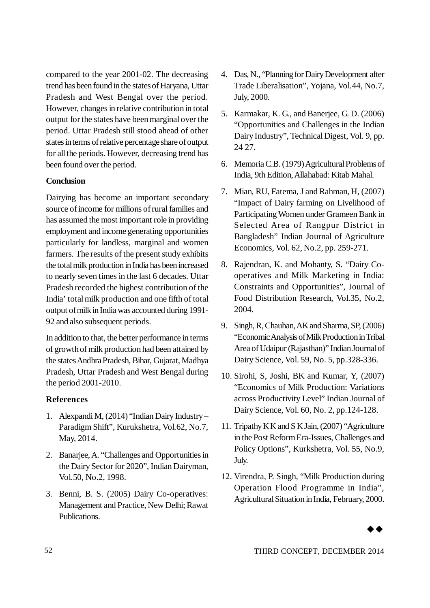compared to the year 2001-02. The decreasing trend has been found in the states of Haryana, Uttar Pradesh and West Bengal over the period. However, changes in relative contribution in total output for the states have been marginal over the period. Uttar Pradesh still stood ahead of other states in terms of relative percentage share of output for all the periods. However, decreasing trend has been found over the period.

## **Conclusion**

Dairying has become an important secondary source of income for millions of rural families and has assumed the most important role in providing employment and income generating opportunities particularly for landless, marginal and women farmers. The results of the present study exhibits the total milk production in India has been increased to nearly seven times in the last 6 decades. Uttar Pradesh recorded the highest contribution of the India' total milk production and one fifth of total output of milk in India was accounted during 1991- 92 and also subsequent periods.

In addition to that, the better performance in terms of growth of milk production had been attained by the states Andhra Pradesh, Bihar, Gujarat, Madhya Pradesh, Uttar Pradesh and West Bengal during the period 2001-2010.

## **References**

- 1. Alexpandi M, (2014) "Indian Dairy Industry Paradigm Shift", Kurukshetra, Vol.62, No.7, May, 2014.
- 2. Banarjee, A. "Challenges and Opportunities in the Dairy Sector for 2020", Indian Dairyman, Vol.50, No.2, 1998.
- 3. Benni, B. S. (2005) Dairy Co-operatives: Management and Practice, New Delhi; Rawat Publications.
- 4. Das, N., "Planning for Dairy Development after Trade Liberalisation", Yojana, Vol.44, No.7, July, 2000.
- 5. Karmakar, K. G., and Banerjee, G. D. (2006) "Opportunities and Challenges in the Indian Dairy Industry", Technical Digest, Vol. 9, pp. 24 27.
- 6. Memoria C.B. (1979) Agricultural Problems of India, 9th Edition, Allahabad: Kitab Mahal.
- 7. Mian, RU, Fatema, J and Rahman, H, (2007) "Impact of Dairy farming on Livelihood of Participating Women under Grameen Bank in Selected Area of Rangpur District in Bangladesh" Indian Journal of Agriculture Economics, Vol. 62, No.2, pp. 259-271.
- 8. Rajendran, K. and Mohanty, S. "Dairy Cooperatives and Milk Marketing in India: Constraints and Opportunities", Journal of Food Distribution Research, Vol.35, No.2, 2004.
- 9. Singh, R, Chauhan, AK and Sharma, SP, (2006) "Economic Analysis of Milk Production in Tribal Area of Udaipur (Rajasthan)" Indian Journal of Dairy Science, Vol. 59, No. 5, pp.328-336.
- 10. Sirohi, S, Joshi, BK and Kumar, Y, (2007) "Economics of Milk Production: Variations across Productivity Level" Indian Journal of Dairy Science, Vol. 60, No. 2, pp.124-128.
- 11. Tripathy K K and S K Jain, (2007) "Agriculture in the Post Reform Era-Issues, Challenges and Policy Options", Kurkshetra, Vol. 55, No.9, July.
- 12. Virendra, P. Singh, "Milk Production during Operation Flood Programme in India", Agricultural Situation in India, February, 2000.

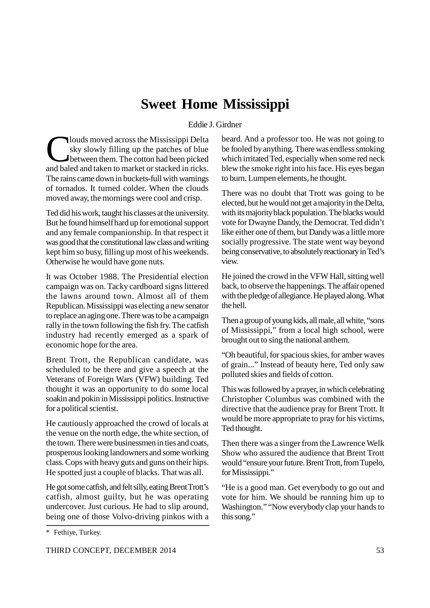# **Sweet Home Mississippi**

### Eddie J. Girdner

Clouds moved across the Mississippi Delta<br>sky slowly filling up the patches of blue<br>between them. The cotton had been picked<br>and baled and taken to market or stacked in ricks. louds moved across the Mississippi Delta sky slowly filling up the patches of blue between them. The cotton had been picked The rains came down in buckets-full with warnings of tornados. It turned colder. When the clouds moved away, the mornings were cool and crisp.

Ted did his work, taught his classes at the university. But he found himself hard up for emotional support and any female companionship. In that respect it was good that the constitutional law class and writing kept him so busy, filling up most of his weekends. Otherwise he would have gone nuts.

It was October 1988. The Presidential election campaign was on. Tacky cardboard signs littered the lawns around town. Almost all of them Republican. Mississippi was electing a new senator to replace an aging one. There was to be a campaign rally in the town following the fish fry. The catfish industry had recently emerged as a spark of economic hope for the area.

Brent Trott, the Republican candidate, was scheduled to be there and give a speech at the Veterans of Foreign Wars (VFW) building. Ted thought it was an opportunity to do some local soakin and pokin in Mississippi politics. Instructive for a political scientist.

He cautiously approached the crowd of locals at the venue on the north edge, the white section, of the town. There were businessmen in ties and coats, prosperous looking landowners and some working class. Cops with heavy guts and guns on their hips. He spotted just a couple of blacks. That was all.

He got some catfish, and felt silly, eating Brent Trott's catfish, almost guilty, but he was operating undercover. Just curious. He had to slip around, being one of those Volvo-driving pinkos with a beard. And a professor too. He was not going to be fooled by anything. There was endless smoking which irritated Ted, especially when some red neck blew the smoke right into his face. His eyes began to burn. Lumpen elements, he thought.

There was no doubt that Trott was going to be elected, but he would not get a majority in the Delta, with its majority black population. The blacks would vote for Dwayne Dandy, the Democrat. Ted didn't like either one of them, but Dandy was a little more socially progressive. The state went way beyond being conservative, to absolutely reactionary in Ted's view.

He joined the crowd in the VFW Hall, sitting well back, to observe the happenings. The affair opened with the pledge of allegiance. He played along. What the hell.

Then a group of young kids, all male, all white, "sons of Mississippi," from a local high school, were brought out to sing the national anthem.

"Oh beautiful, for spacious skies, for amber waves of grain..." Instead of beauty here, Ted only saw polluted skies and fields of cotton.

This was followed by a prayer, in which celebrating Christopher Columbus was combined with the directive that the audience pray for Brent Trott. It would be more appropriate to pray for his victims, Ted thought.

Then there was a singer from the Lawrence Welk Show who assured the audience that Brent Trott would "ensure your future. Brent Trott, from Tupelo, for Mississippi."

"He is a good man. Get everybody to go out and vote for him. We should be running him up to Washington." "Now everybody clap your hands to this song."

<sup>\*</sup> Fethiye, Turkey.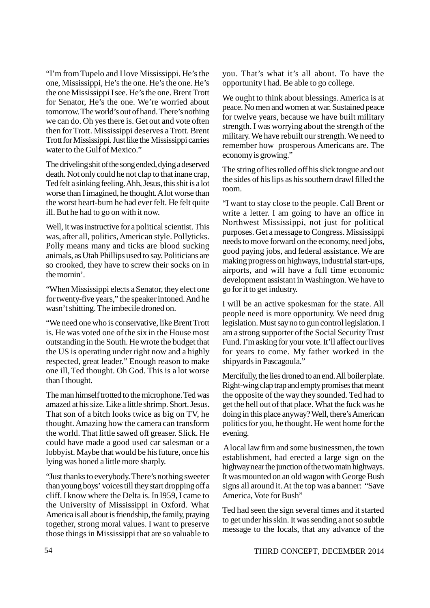"I'm from Tupelo and I love Mississippi. He's the one, Mississippi, He's the one. He's the one. He's the one Mississippi I see. He's the one. Brent Trott for Senator, He's the one. We're worried about tomorrow. The world's out of hand. There's nothing we can do. Oh yes there is. Get out and vote often then for Trott. Mississippi deserves a Trott. Brent Trott for Mississippi. Just like the Mississippi carries water to the Gulf of Mexico."

The driveling shit of the song ended, dying a deserved death. Not only could he not clap to that inane crap, Ted felt a sinking feeling. Ahh, Jesus, this shit is a lot worse than I imagined, he thought. A lot worse than the worst heart-burn he had ever felt. He felt quite ill. But he had to go on with it now.

Well, it was instructive for a political scientist. This was, after all, politics, American style. Pollyticks. Polly means many and ticks are blood sucking animals, as Utah Phillips used to say. Politicians are so crooked, they have to screw their socks on in the mornin'.

"When Mississippi elects a Senator, they elect one for twenty-five years," the speaker intoned. And he wasn't shitting. The imbecile droned on.

"We need one who is conservative, like Brent Trott is. He was voted one of the six in the House most outstanding in the South. He wrote the budget that the US is operating under right now and a highly respected, great leader." Enough reason to make one ill, Ted thought. Oh God. This is a lot worse than I thought.

The man himself trotted to the microphone. Ted was amazed at his size. Like a little shrimp. Short. Jesus. That son of a bitch looks twice as big on TV, he thought. Amazing how the camera can transform the world. That little sawed off greaser. Slick. He could have made a good used car salesman or a lobbyist. Maybe that would be his future, once his lying was honed a little more sharply.

"Just thanks to everybody. There's nothing sweeter than young boys' voices till they start dropping off a cliff. I know where the Delta is. In l959, I came to the University of Mississippi in Oxford. What America is all about is friendship, the family, praying together, strong moral values. I want to preserve those things in Mississippi that are so valuable to you. That's what it's all about. To have the opportunity I had. Be able to go college.

We ought to think about blessings. America is at peace. No men and women at war. Sustained peace for twelve years, because we have built military strength. I was worrying about the strength of the military. We have rebuilt our strength. We need to remember how prosperous Americans are. The economy is growing."

The string of lies rolled off his slick tongue and out the sides of his lips as his southern drawl filled the room.

"I want to stay close to the people. Call Brent or write a letter. I am going to have an office in Northwest Mississippi, not just for political purposes. Get a message to Congress. Mississippi needs to move forward on the economy, need jobs, good paying jobs, and federal assistance. We are making progress on highways, industrial start-ups, airports, and will have a full time economic development assistant in Washington. We have to go for it to get industry.

I will be an active spokesman for the state. All people need is more opportunity. We need drug legislation. Must say no to gun control legislation. I am a strong supporter of the Social Security Trust Fund. I'm asking for your vote. It'll affect our lives for years to come. My father worked in the shipyards in Pascagoula."

Mercifully, the lies droned to an end. All boiler plate. Right-wing clap trap and empty promises that meant the opposite of the way they sounded. Ted had to get the hell out of that place. What the fuck was he doing in this place anyway? Well, there's American politics for you, he thought. He went home for the evening.

 A local law firm and some businessmen, the town establishment, had erected a large sign on the highway near the junction of the two main highways. It was mounted on an old wagon with George Bush signs all around it. At the top was a banner: "Save America, Vote for Bush"

Ted had seen the sign several times and it started to get under his skin. It was sending a not so subtle message to the locals, that any advance of the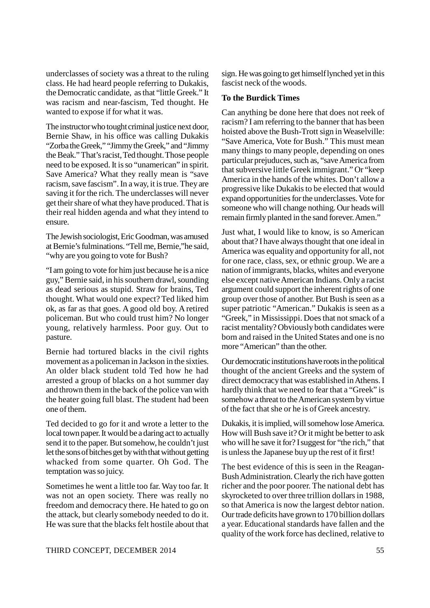underclasses of society was a threat to the ruling class. He had heard people referring to Dukakis, the Democratic candidate, as that "little Greek." It was racism and near-fascism, Ted thought. He wanted to expose if for what it was.

The instructor who tought criminal justice next door, Bernie Shaw, in his office was calling Dukakis "Zorba the Greek," "Jimmy the Greek," and "Jimmy the Beak." That's racist, Ted thought. Those people need to be exposed. It is so "unamerican" in spirit. Save America? What they really mean is "save racism, save fascism". In a way, it is true. They are saving it for the rich. The underclasses will never get their share of what they have produced. That is their real hidden agenda and what they intend to ensure.

The Jewish sociologist, Eric Goodman, was amused at Bernie's fulminations. "Tell me, Bernie,"he said, "why are you going to vote for Bush?

"I am going to vote for him just because he is a nice guy," Bernie said, in his southern drawl, sounding as dead serious as stupid. Straw for brains, Ted thought. What would one expect? Ted liked him ok, as far as that goes. A good old boy. A retired policeman. But who could trust him? No longer young, relatively harmless. Poor guy. Out to pasture.

Bernie had tortured blacks in the civil rights movement as a policeman in Jackson in the sixties. An older black student told Ted how he had arrested a group of blacks on a hot summer day and thrown them in the back of the police van with the heater going full blast. The student had been one of them.

Ted decided to go for it and wrote a letter to the local town paper. It would be a daring act to actually send it to the paper. But somehow, he couldn't just let the sons of bitches get by with that without getting whacked from some quarter. Oh God. The temptation was so juicy.

Sometimes he went a little too far. Way too far. It was not an open society. There was really no freedom and democracy there. He hated to go on the attack, but clearly somebody needed to do it. He was sure that the blacks felt hostile about that sign. He was going to get himself lynched yet in this fascist neck of the woods.

### **To the Burdick Times**

Can anything be done here that does not reek of racism? I am referring to the banner that has been hoisted above the Bush-Trott sign in Weaselville: "Save America, Vote for Bush." This must mean many things to many people, depending on ones particular prejuduces, such as, "save America from that subversive little Greek immigrant." Or "keep America in the hands of the whites. Don't allow a progressive like Dukakis to be elected that would expand opportunities for the underclasses. Vote for someone who will change nothing. Our heads will remain firmly planted in the sand forever. Amen."

Just what, I would like to know, is so American about that? I have always thought that one ideal in America was equality and opportunity for all, not for one race, class, sex, or ethnic group. We are a nation of immigrants, blacks, whites and everyone else except native American Indians. Only a racist argument could support the inherent rights of one group over those of another. But Bush is seen as a super patriotic "American." Dukakis is seen as a "Greek," in Mississippi. Does that not smack of a racist mentality? Obviously both candidates were born and raised in the United States and one is no more "American" than the other.

Our democratic institutions have roots in the political thought of the ancient Greeks and the system of direct democracy that was established in Athens. I hardly think that we need to fear that a "Greek" is somehow a threat to the American system by virtue of the fact that she or he is of Greek ancestry.

Dukakis, it is implied, will somehow lose America. How will Bush save it? Or it might be better to ask who will he save it for? I suggest for "the rich," that is unless the Japanese buy up the rest of it first!

The best evidence of this is seen in the Reagan-Bush Administration. Clearly the rich have gotten richer and the poor poorer. The national debt has skyrocketed to over three trillion dollars in 1988, so that America is now the largest debtor nation. Our trade deficits have grown to 170 billion dollars a year. Educational standards have fallen and the quality of the work force has declined, relative to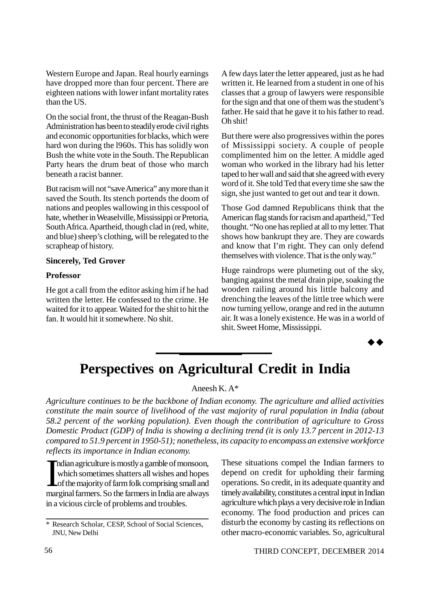Western Europe and Japan. Real hourly earnings have dropped more than four percent. There are eighteen nations with lower infant mortality rates than the US.

On the social front, the thrust of the Reagan-Bush Administration has been to steadily erode civil rights and economic opportunities for blacks, which were hard won during the l960s. This has solidly won Bush the white vote in the South. The Republican Party hears the drum beat of those who march beneath a racist banner.

But racism will not "save America" any more than it saved the South. Its stench portends the doom of nations and peoples wallowing in this cesspool of hate, whether in Weaselville, Mississippi or Pretoria, South Africa. Apartheid, though clad in (red, white, and blue) sheep's clothing, will be relegated to the scrapheap of history.

#### **Sincerely, Ted Grover**

#### **Professor**

He got a call from the editor asking him if he had written the letter. He confessed to the crime. He waited for it to appear. Waited for the shit to hit the fan. It would hit it somewhere. No shit.

A few days later the letter appeared, just as he had written it. He learned from a student in one of his classes that a group of lawyers were responsible for the sign and that one of them was the student's father. He said that he gave it to his father to read. Oh shit!

But there were also progressives within the pores of Mississippi society. A couple of people complimented him on the letter. A middle aged woman who worked in the library had his letter taped to her wall and said that she agreed with every word of it. She told Ted that every time she saw the sign, she just wanted to get out and tear it down.

Those God damned Republicans think that the American flag stands for racism and apartheid," Ted thought. "No one has replied at all to my letter. That shows how bankrupt they are. They are cowards and know that I'm right. They can only defend themselves with violence. That is the only way."

Huge raindrops were plumeting out of the sky, banging against the metal drain pipe, soaking the wooden railing around his little balcony and drenching the leaves of the little tree which were now turning yellow, orange and red in the autumn air. It was a lonely existence. He was in a world of shit. Sweet Home, Mississippi.



# **Perspectives on Agricultural Credit in India**

## Aneesh K. A\*

*Agriculture continues to be the backbone of Indian economy. The agriculture and allied activities constitute the main source of livelihood of the vast majority of rural population in India (about 58.2 percent of the working population). Even though the contribution of agriculture to Gross Domestic Product (GDP) of India is showing a declining trend (it is only 13.7 percent in 2012-13 compared to 51.9 percent in 1950-51); nonetheless, its capacity to encompass an extensive workforce reflects its importance in Indian economy.*

Indian agriculture is mostly a gamble of monsoon,<br>which sometimes shatters all wishes and hopes<br>of the majority of farm folk comprising small and<br>marginal farmers. So the farmers in India are always ndian agriculture is mostly a gamble of monsoon, which sometimes shatters all wishes and hopes of the majority of farm folk comprising small and in a vicious circle of problems and troubles.

These situations compel the Indian farmers to depend on credit for upholding their farming operations. So credit, in its adequate quantity and timely availability, constitutes a central input in Indian agriculture which plays a very decisive role in Indian economy. The food production and prices can disturb the economy by casting its reflections on other macro-economic variables. So, agricultural

56 THIRD CONCEPT, DECEMBER 2014

<sup>\*</sup> Research Scholar, CESP, School of Social Sciences, JNU, New Delhi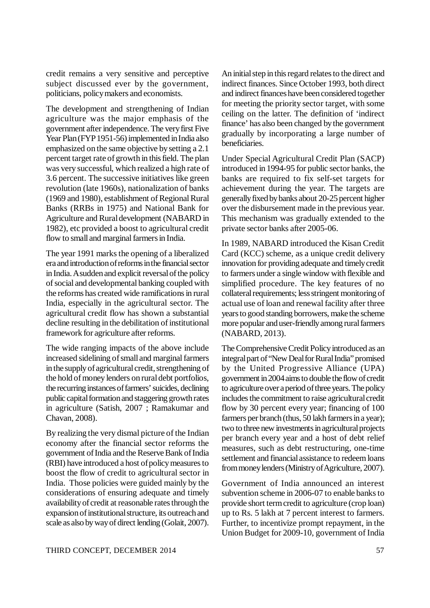credit remains a very sensitive and perceptive subject discussed ever by the government, politicians, policy makers and economists.

The development and strengthening of Indian agriculture was the major emphasis of the government after independence. The very first Five Year Plan (FYP 1951-56) implemented in India also emphasized on the same objective by setting a 2.1 percent target rate of growth in this field. The plan was very successful, which realized a high rate of 3.6 percent. The successive initiatives like green revolution (late 1960s), nationalization of banks (1969 and 1980), establishment of Regional Rural Banks (RRBs in 1975) and National Bank for Agriculture and Rural development (NABARD in 1982), etc provided a boost to agricultural credit flow to small and marginal farmers in India.

The year 1991 marks the opening of a liberalized era and introduction of reforms in the financial sector in India. A sudden and explicit reversal of the policy of social and developmental banking coupled with the reforms has created wide ramifications in rural India, especially in the agricultural sector. The agricultural credit flow has shown a substantial decline resulting in the debilitation of institutional framework for agriculture after reforms.

The wide ranging impacts of the above include increased sidelining of small and marginal farmers in the supply of agricultural credit, strengthening of the hold of money lenders on rural debt portfolios, the recurring instances of farmers' suicides, declining public capital formation and staggering growth rates in agriculture (Satish, 2007 ; Ramakumar and Chavan, 2008).

By realizing the very dismal picture of the Indian economy after the financial sector reforms the government of India and the Reserve Bank of India (RBI) have introduced a host of policy measures to boost the flow of credit to agricultural sector in India. Those policies were guided mainly by the considerations of ensuring adequate and timely availability of credit at reasonable rates through the expansion of institutional structure, its outreach and scale as also by way of direct lending (Golait, 2007).

An initial step in this regard relates to the direct and indirect finances. Since October 1993, both direct and indirect finances have been considered together for meeting the priority sector target, with some ceiling on the latter. The definition of 'indirect finance' has also been changed by the government gradually by incorporating a large number of beneficiaries.

Under Special Agricultural Credit Plan (SACP) introduced in 1994-95 for public sector banks, the banks are required to fix self-set targets for achievement during the year. The targets are generally fixed by banks about 20-25 percent higher over the disbursement made in the previous year. This mechanism was gradually extended to the private sector banks after 2005-06.

In 1989, NABARD introduced the Kisan Credit Card (KCC) scheme, as a unique credit delivery innovation for providing adequate and timely credit to farmers under a single window with flexible and simplified procedure. The key features of no collateral requirements; less stringent monitoring of actual use of loan and renewal facility after three years to good standing borrowers, make the scheme more popular and user-friendly among rural farmers (NABARD, 2013).

The Comprehensive Credit Policy introduced as an integral part of "New Deal for Rural India" promised by the United Progressive Alliance (UPA) government in 2004 aims to double the flow of credit to agriculture over a period of three years. The policy includes the commitment to raise agricultural credit flow by 30 percent every year; financing of 100 farmers per branch (thus, 50 lakh farmers in a year); two to three new investments in agricultural projects per branch every year and a host of debt relief measures, such as debt restructuring, one-time settlement and financial assistance to redeem loans from money lenders (Ministry of Agriculture, 2007).

Government of India announced an interest subvention scheme in 2006-07 to enable banks to provide short term credit to agriculture (crop loan) up to Rs. 5 lakh at 7 percent interest to farmers. Further, to incentivize prompt repayment, in the Union Budget for 2009-10, government of India